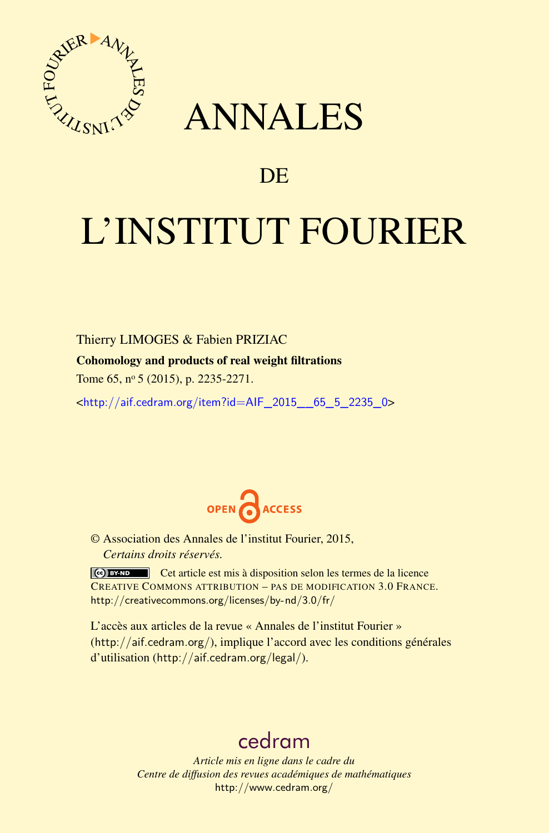

# ANNALES

# **DE**

# L'INSTITUT FOURIER

Thierry LIMOGES & Fabien PRIZIAC

Cohomology and products of real weight filtrations

Tome 65, nº 5 (2015), p. 2235-2271.

<[http://aif.cedram.org/item?id=AIF\\_2015\\_\\_65\\_5\\_2235\\_0](http://aif.cedram.org/item?id=AIF_2015__65_5_2235_0)>



© Association des Annales de l'institut Fourier, 2015, *Certains droits réservés.*

Cet article est mis à disposition selon les termes de la licence CREATIVE COMMONS ATTRIBUTION – PAS DE MODIFICATION 3.0 FRANCE. <http://creativecommons.org/licenses/by-nd/3.0/fr/>

L'accès aux articles de la revue « Annales de l'institut Fourier » (<http://aif.cedram.org/>), implique l'accord avec les conditions générales d'utilisation (<http://aif.cedram.org/legal/>).

# [cedram](http://www.cedram.org/)

*Article mis en ligne dans le cadre du Centre de diffusion des revues académiques de mathématiques* <http://www.cedram.org/>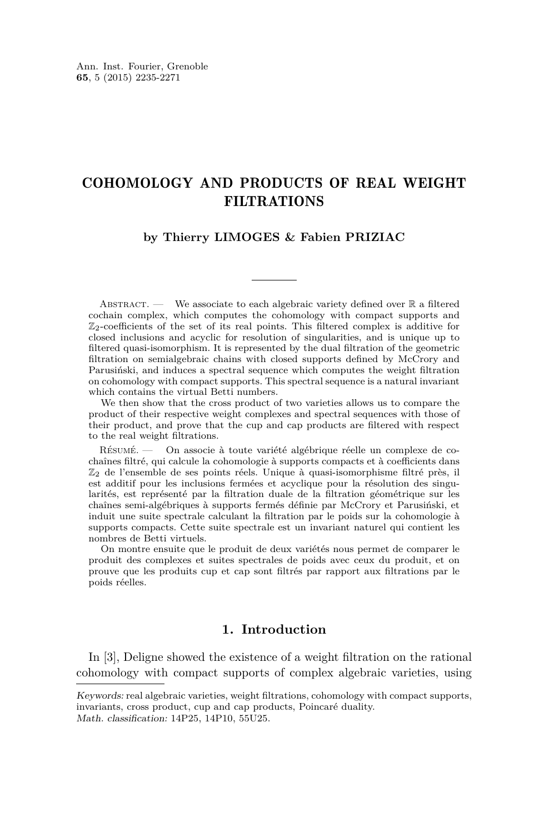# COHOMOLOGY AND PRODUCTS OF REAL WEIGHT FILTRATIONS

# **by Thierry LIMOGES & Fabien PRIZIAC**

ABSTRACT. — We associate to each algebraic variety defined over  $\mathbb R$  a filtered cochain complex, which computes the cohomology with compact supports and  $\mathbb{Z}_2$ -coefficients of the set of its real points. This filtered complex is additive for closed inclusions and acyclic for resolution of singularities, and is unique up to filtered quasi-isomorphism. It is represented by the dual filtration of the geometric filtration on semialgebraic chains with closed supports defined by McCrory and Parusiński, and induces a spectral sequence which computes the weight filtration on cohomology with compact supports. This spectral sequence is a natural invariant which contains the virtual Betti numbers.

We then show that the cross product of two varieties allows us to compare the product of their respective weight complexes and spectral sequences with those of their product, and prove that the cup and cap products are filtered with respect to the real weight filtrations.

Résumé. — On associe à toute variété algébrique réelle un complexe de cochaînes filtré, qui calcule la cohomologie à supports compacts et à coefficients dans  $\mathbb{Z}_2$  de l'ensemble de ses points réels. Unique à quasi-isomorphisme filtré près, il est additif pour les inclusions fermées et acyclique pour la résolution des singularités, est représenté par la filtration duale de la filtration géométrique sur les chaînes semi-algébriques à supports fermés définie par McCrory et Parusiński, et induit une suite spectrale calculant la filtration par le poids sur la cohomologie à supports compacts. Cette suite spectrale est un invariant naturel qui contient les nombres de Betti virtuels.

On montre ensuite que le produit de deux variétés nous permet de comparer le produit des complexes et suites spectrales de poids avec ceux du produit, et on prouve que les produits cup et cap sont filtrés par rapport aux filtrations par le poids réelles.

# **1. Introduction**

In [\[3\]](#page-36-0), Deligne showed the existence of a weight filtration on the rational cohomology with compact supports of complex algebraic varieties, using

Keywords: real algebraic varieties, weight filtrations, cohomology with compact supports, invariants, cross product, cup and cap products, Poincaré duality. Math. classification: 14P25, 14P10, 55U25.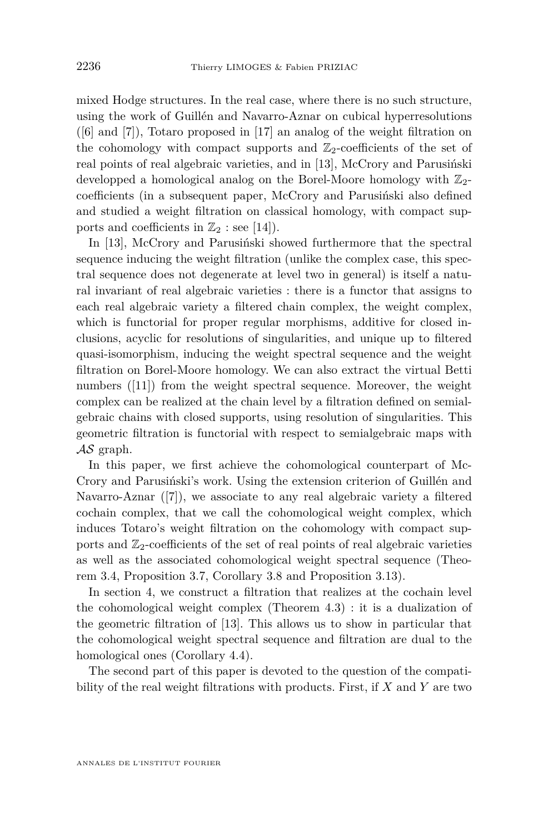mixed Hodge structures. In the real case, where there is no such structure, using the work of Guillén and Navarro-Aznar on cubical hyperresolutions  $([6]$  $([6]$  and [\[7\]](#page-37-0)), Totaro proposed in [\[17\]](#page-37-0) an analog of the weight filtration on the cohomology with compact supports and  $\mathbb{Z}_2$ -coefficients of the set of real points of real algebraic varieties, and in [\[13\]](#page-37-0), McCrory and Parusiński developped a homological analog on the Borel-Moore homology with  $\mathbb{Z}_2$ coefficients (in a subsequent paper, McCrory and Parusiński also defined and studied a weight filtration on classical homology, with compact supports and coefficients in  $\mathbb{Z}_2$  : see [\[14\]](#page-37-0)).

In [\[13\]](#page-37-0), McCrory and Parusiński showed furthermore that the spectral sequence inducing the weight filtration (unlike the complex case, this spectral sequence does not degenerate at level two in general) is itself a natural invariant of real algebraic varieties : there is a functor that assigns to each real algebraic variety a filtered chain complex, the weight complex, which is functorial for proper regular morphisms, additive for closed inclusions, acyclic for resolutions of singularities, and unique up to filtered quasi-isomorphism, inducing the weight spectral sequence and the weight filtration on Borel-Moore homology. We can also extract the virtual Betti numbers ([\[11\]](#page-37-0)) from the weight spectral sequence. Moreover, the weight complex can be realized at the chain level by a filtration defined on semialgebraic chains with closed supports, using resolution of singularities. This geometric filtration is functorial with respect to semialgebraic maps with  $\mathcal{A}\mathcal{S}$  graph.

In this paper, we first achieve the cohomological counterpart of Mc-Crory and Parusiński's work. Using the extension criterion of Guillén and Navarro-Aznar ([\[7\]](#page-37-0)), we associate to any real algebraic variety a filtered cochain complex, that we call the cohomological weight complex, which induces Totaro's weight filtration on the cohomology with compact supports and  $\mathbb{Z}_2$ -coefficients of the set of real points of real algebraic varieties as well as the associated cohomological weight spectral sequence (Theorem [3.4,](#page-8-0) Proposition [3.7,](#page-10-0) Corollary [3.8](#page-10-0) and Proposition [3.13\)](#page-13-0).

In section [4,](#page-14-0) we construct a filtration that realizes at the cochain level the cohomological weight complex (Theorem [4.3\)](#page-16-0) : it is a dualization of the geometric filtration of [\[13\]](#page-37-0). This allows us to show in particular that the cohomological weight spectral sequence and filtration are dual to the homological ones (Corollary [4.4\)](#page-17-0).

The second part of this paper is devoted to the question of the compatibility of the real weight filtrations with products. First, if *X* and *Y* are two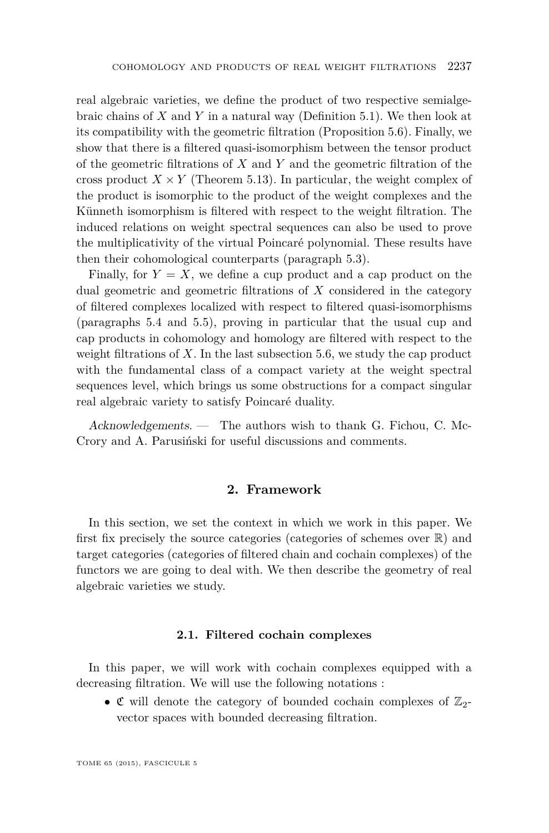real algebraic varieties, we define the product of two respective semialgebraic chains of *X* and *Y* in a natural way (Definition [5.1\)](#page-19-0). We then look at its compatibility with the geometric filtration (Proposition [5.6\)](#page-20-0). Finally, we show that there is a filtered quasi-isomorphism between the tensor product of the geometric filtrations of *X* and *Y* and the geometric filtration of the cross product  $X \times Y$  (Theorem [5.13\)](#page-26-0). In particular, the weight complex of the product is isomorphic to the product of the weight complexes and the Künneth isomorphism is filtered with respect to the weight filtration. The induced relations on weight spectral sequences can also be used to prove the multiplicativity of the virtual Poincaré polynomial. These results have then their cohomological counterparts (paragraph [5.3\)](#page-29-0).

Finally, for  $Y = X$ , we define a cup product and a cap product on the dual geometric and geometric filtrations of *X* considered in the category of filtered complexes localized with respect to filtered quasi-isomorphisms (paragraphs [5.4](#page-31-0) and [5.5\)](#page-32-0), proving in particular that the usual cup and cap products in cohomology and homology are filtered with respect to the weight filtrations of *X*. In the last subsection [5.6,](#page-35-0) we study the cap product with the fundamental class of a compact variety at the weight spectral sequences level, which brings us some obstructions for a compact singular real algebraic variety to satisfy Poincaré duality.

Acknowledgements. — The authors wish to thank G. Fichou, C. Mc-Crory and A. Parusiński for useful discussions and comments.

# **2. Framework**

In this section, we set the context in which we work in this paper. We first fix precisely the source categories (categories of schemes over  $\mathbb{R}$ ) and target categories (categories of filtered chain and cochain complexes) of the functors we are going to deal with. We then describe the geometry of real algebraic varieties we study.

## **2.1. Filtered cochain complexes**

In this paper, we will work with cochain complexes equipped with a decreasing filtration. We will use the following notations :

•  $\mathfrak{C}$  will denote the category of bounded cochain complexes of  $\mathbb{Z}_2$ vector spaces with bounded decreasing filtration.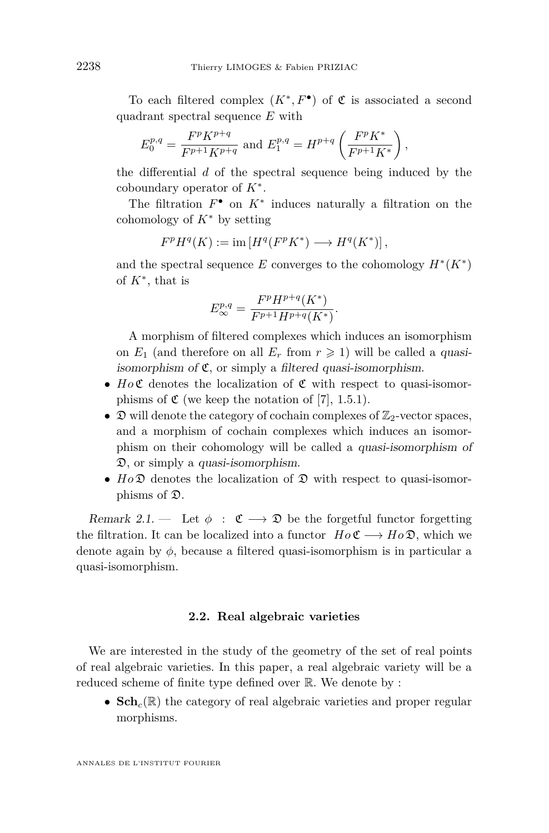To each filtered complex  $(K^*, F^{\bullet})$  of  $\mathfrak C$  is associated a second quadrant spectral sequence *E* with

$$
E_0^{p,q} = \frac{F^p K^{p+q}}{F^{p+1} K^{p+q}}
$$
 and 
$$
E_1^{p,q} = H^{p+q} \left( \frac{F^p K^*}{F^{p+1} K^*} \right),
$$

the differential *d* of the spectral sequence being induced by the coboundary operator of *K*<sup>∗</sup> .

The filtration  $F^{\bullet}$  on  $K^*$  induces naturally a filtration on the cohomology of *K*<sup>∗</sup> by setting

$$
F^p H^q(K) := \text{im} \left[ H^q(F^p K^*) \longrightarrow H^q(K^*) \right],
$$

and the spectral sequence  $E$  converges to the cohomology  $H^*(K^*)$ of *K*<sup>∗</sup> , that is

$$
E^{p,q}_{\infty} = \frac{F^p H^{p+q}(K^*)}{F^{p+1} H^{p+q}(K^*)}.
$$

A morphism of filtered complexes which induces an isomorphism on  $E_1$  (and therefore on all  $E_r$  from  $r \geq 1$ ) will be called a quasiisomorphism of  $\mathfrak{C}$ , or simply a filtered quasi-isomorphism.

- $Ho\mathfrak{C}$  denotes the localization of  $\mathfrak{C}$  with respect to quasi-isomorphisms of  $\mathfrak{C}$  (we keep the notation of [\[7\]](#page-37-0), 1.5.1).
- $\mathfrak{D}$  will denote the category of cochain complexes of  $\mathbb{Z}_2$ -vector spaces, and a morphism of cochain complexes which induces an isomorphism on their cohomology will be called a quasi-isomorphism of D, or simply a quasi-isomorphism.
- $Ho\mathfrak{D}$  denotes the localization of  $\mathfrak D$  with respect to quasi-isomorphisms of D.

Remark 2.1. — Let  $\phi : \mathfrak{C} \longrightarrow \mathfrak{D}$  be the forgetful functor forgetting the filtration. It can be localized into a functor  $H \circ \mathfrak{C} \longrightarrow H \circ \mathfrak{D}$ , which we denote again by *φ*, because a filtered quasi-isomorphism is in particular a quasi-isomorphism.

# **2.2. Real algebraic varieties**

We are interested in the study of the geometry of the set of real points of real algebraic varieties. In this paper, a real algebraic variety will be a reduced scheme of finite type defined over R. We denote by :

•  $\mathbf{Sch}_c(\mathbb{R})$  the category of real algebraic varieties and proper regular morphisms.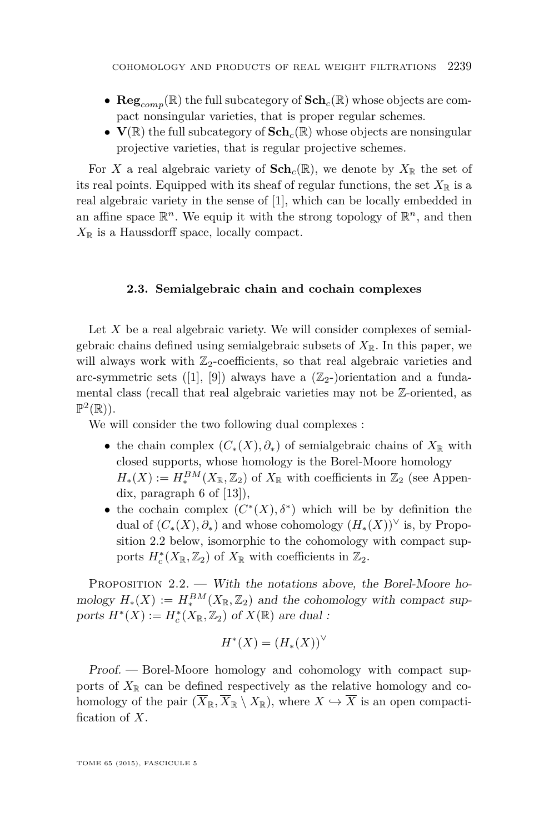- **Reg***comp*(R) the full subcategory of **Sch***c*(R) whose objects are compact nonsingular varieties, that is proper regular schemes.
- $V(\mathbb{R})$  the full subcategory of  $Sch_c(\mathbb{R})$  whose objects are nonsingular projective varieties, that is regular projective schemes.

For *X* a real algebraic variety of  $\mathbf{Sch}_c(\mathbb{R})$ , we denote by  $X_{\mathbb{R}}$  the set of its real points. Equipped with its sheaf of regular functions, the set  $X_{\mathbb{R}}$  is a real algebraic variety in the sense of [\[1\]](#page-36-0), which can be locally embedded in an affine space  $\mathbb{R}^n$ . We equip it with the strong topology of  $\mathbb{R}^n$ , and then  $X_{\mathbb{R}}$  is a Haussdorff space, locally compact.

# **2.3. Semialgebraic chain and cochain complexes**

Let *X* be a real algebraic variety. We will consider complexes of semialgebraic chains defined using semialgebraic subsets of  $X_{\mathbb{R}}$ . In this paper, we will always work with  $\mathbb{Z}_2$ -coefficients, so that real algebraic varieties and arc-symmetric sets ([\[1\]](#page-36-0), [\[9\]](#page-37-0)) always have a  $(\mathbb{Z}_2$ -)orientation and a fundamental class (recall that real algebraic varieties may not be Z-oriented, as  $\mathbb{P}^2(\mathbb{R})$ ).

We will consider the two following dual complexes :

- the chain complex  $(C_*(X), \partial_*)$  of semialgebraic chains of  $X_{\mathbb{R}}$  with closed supports, whose homology is the Borel-Moore homology  $H_*(X) := H_*^{BM}(X_{\mathbb{R}}, \mathbb{Z}_2)$  of  $X_{\mathbb{R}}$  with coefficients in  $\mathbb{Z}_2$  (see Appendix, paragraph 6 of [\[13\]](#page-37-0)),
- the cochain complex  $(C^*(X), \delta^*)$  which will be by definition the dual of  $(C_*(X), \partial_*)$  and whose cohomology  $(H_*(X))^{\vee}$  is, by Proposition 2.2 below, isomorphic to the cohomology with compact supports  $H_c^*(X_{\mathbb{R}}, \mathbb{Z}_2)$  of  $X_{\mathbb{R}}$  with coefficients in  $\mathbb{Z}_2$ .

PROPOSITION 2.2. — With the notations above, the Borel-Moore homology  $H_*(X) := H_*^{BM}(X_{\mathbb{R}}, \mathbb{Z}_2)$  and the cohomology with compact supports  $H^*(X) := H^*_c(X_{\mathbb{R}}, \mathbb{Z}_2)$  of  $X(\mathbb{R})$  are dual :

$$
H^*(X) = (H_*(X))^\vee
$$

Proof. — Borel-Moore homology and cohomology with compact supports of  $X_{\mathbb{R}}$  can be defined respectively as the relative homology and cohomology of the pair  $(\overline{X}_{\mathbb{R}}, \overline{X}_{\mathbb{R}} \setminus X_{\mathbb{R}})$ , where  $X \hookrightarrow \overline{X}$  is an open compactification of *X*.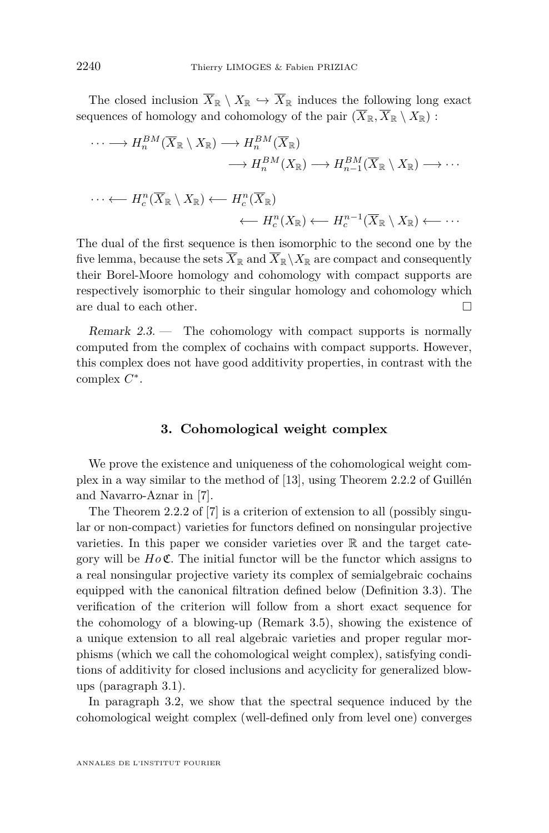The closed inclusion  $\overline{X}_{\mathbb{R}} \setminus X_{\mathbb{R}} \hookrightarrow \overline{X}_{\mathbb{R}}$  induces the following long exact sequences of homology and cohomology of the pair  $(\overline{X}_{\mathbb{R}}, \overline{X}_{\mathbb{R}} \setminus X_{\mathbb{R}})$ :

$$
\cdots \longrightarrow H_n^{BM}(\overline{X}_{\mathbb{R}} \setminus X_{\mathbb{R}}) \longrightarrow H_n^{BM}(\overline{X}_{\mathbb{R}})
$$
  
\n
$$
\longrightarrow H_n^{BM}(X_{\mathbb{R}}) \longrightarrow H_{n-1}^{BM}(\overline{X}_{\mathbb{R}} \setminus X_{\mathbb{R}}) \longrightarrow \cdots
$$
  
\n
$$
\cdots \longleftarrow H_c^n(\overline{X}_{\mathbb{R}} \setminus X_{\mathbb{R}}) \longleftarrow H_c^n(\overline{X}_{\mathbb{R}})
$$
  
\n
$$
\longleftarrow H_c^n(X_{\mathbb{R}}) \longleftarrow H_c^{n-1}(\overline{X}_{\mathbb{R}} \setminus X_{\mathbb{R}}) \longleftarrow \cdots
$$

The dual of the first sequence is then isomorphic to the second one by the five lemma, because the sets  $\overline{X}_{\mathbb{R}}$  and  $\overline{X}_{\mathbb{R}}\setminus X_{\mathbb{R}}$  are compact and consequently their Borel-Moore homology and cohomology with compact supports are respectively isomorphic to their singular homology and cohomology which are dual to each other.  $\Box$ 

Remark  $2.3$ . — The cohomology with compact supports is normally computed from the complex of cochains with compact supports. However, this complex does not have good additivity properties, in contrast with the complex *C* ∗ .

# **3. Cohomological weight complex**

We prove the existence and uniqueness of the cohomological weight complex in a way similar to the method of [\[13\]](#page-37-0), using Theorem 2.2.2 of Guillén and Navarro-Aznar in [\[7\]](#page-37-0).

The Theorem 2.2.2 of [\[7\]](#page-37-0) is a criterion of extension to all (possibly singular or non-compact) varieties for functors defined on nonsingular projective varieties. In this paper we consider varieties over  $\mathbb R$  and the target category will be *Ho* C. The initial functor will be the functor which assigns to a real nonsingular projective variety its complex of semialgebraic cochains equipped with the canonical filtration defined below (Definition [3.3\)](#page-7-0). The verification of the criterion will follow from a short exact sequence for the cohomology of a blowing-up (Remark [3.5\)](#page-9-0), showing the existence of a unique extension to all real algebraic varieties and proper regular morphisms (which we call the cohomological weight complex), satisfying conditions of additivity for closed inclusions and acyclicity for generalized blowups (paragraph [3.1\)](#page-8-0).

In paragraph [3.2,](#page-10-0) we show that the spectral sequence induced by the cohomological weight complex (well-defined only from level one) converges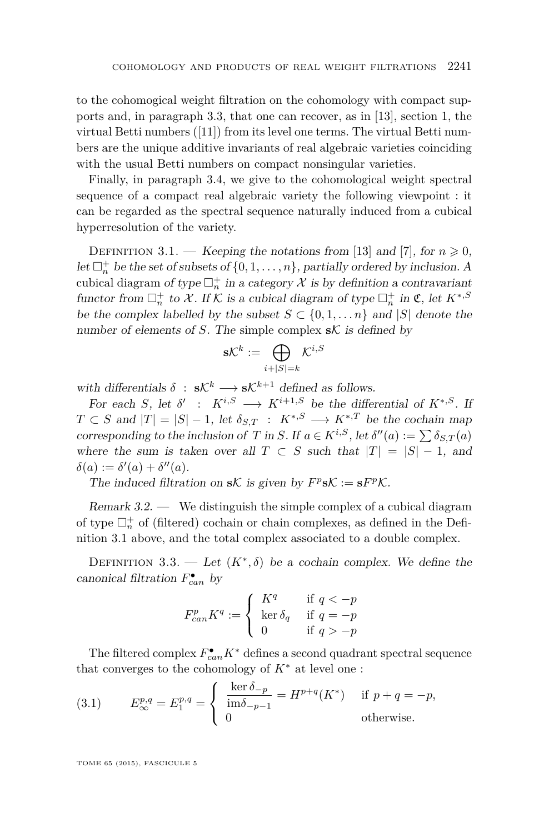<span id="page-7-0"></span>to the cohomogical weight filtration on the cohomology with compact supports and, in paragraph [3.3,](#page-11-0) that one can recover, as in [\[13\]](#page-37-0), section 1, the virtual Betti numbers ([\[11\]](#page-37-0)) from its level one terms. The virtual Betti numbers are the unique additive invariants of real algebraic varieties coinciding with the usual Betti numbers on compact nonsingular varieties.

Finally, in paragraph [3.4,](#page-12-0) we give to the cohomological weight spectral sequence of a compact real algebraic variety the following viewpoint : it can be regarded as the spectral sequence naturally induced from a cubical hyperresolution of the variety.

DEFINITION 3.1. — Keeping the notations from [\[13\]](#page-37-0) and [\[7\]](#page-37-0), for  $n \ge 0$ , let  $\Box_n^+$  be the set of subsets of  $\{0, 1, \ldots, n\}$ , partially ordered by inclusion. A cubical diagram of type  $\Box_n^+$  in a category  $\mathcal X$  is by definition a contravariant functor from  $\Box_n^+$  to X. If K is a cubical diagram of type  $\Box_n^+$  in  $\mathfrak{C}$ , let  $K^{*,S}$ be the complex labelled by the subset  $S \subset \{0, 1, \ldots n\}$  and  $|S|$  denote the number of elements of *S*. The simple complex  $sK$  is defined by

$$
\mathrm{s}\mathcal{K}^k:=\bigoplus_{i+|S|=k}\mathcal{K}^{i,S}
$$

with differentials  $\delta$  :  $s\mathcal{K}^k \longrightarrow s\mathcal{K}^{k+1}$  defined as follows.

For each *S*, let  $\delta'$  :  $K^{i,S} \longrightarrow K^{i+1,S}$  be the differential of  $K^{*,S}$ . If  $T \subset S$  and  $|T| = |S| - 1$ , let  $\delta_{S,T} : K^{*,S} \longrightarrow K^{*,T}$  be the cochain map corresponding to the inclusion of *T* in *S*. If  $a \in K^{i,S}$ , let  $\delta''(a) := \sum \delta_{S,T}(a)$ where the sum is taken over all  $T \subset S$  such that  $|T| = |S| - 1$ , and  $\delta(a) := \delta'(a) + \delta''(a).$ 

The induced filtration on  $sK$  is given by  $F^p sK := sF^pK$ .

Remark  $3.2.$  — We distinguish the simple complex of a cubical diagram of type  $\Box^+_n$  of (filtered) cochain or chain complexes, as defined in the Definition 3.1 above, and the total complex associated to a double complex.

DEFINITION 3.3. — Let  $(K^*,\delta)$  be a cochain complex. We define the canonical filtration  $F_{can}^{\bullet}$  by

$$
F_{can}^p K^q := \begin{cases} K^q & \text{if } q < -p \\ \ker \delta_q & \text{if } q = -p \\ 0 & \text{if } q > -p \end{cases}
$$

The filtered complex  $F_{can}^{\bullet}K^*$  defines a second quadrant spectral sequence that converges to the cohomology of  $K^*$  at level one:

(3.1) 
$$
E^{p,q}_{\infty} = E^{p,q}_1 = \begin{cases} \frac{\ker \delta_{-p}}{\mathrm{im}\delta_{-p-1}} = H^{p+q}(K^*) & \text{if } p+q = -p, \\ 0 & \text{otherwise.} \end{cases}
$$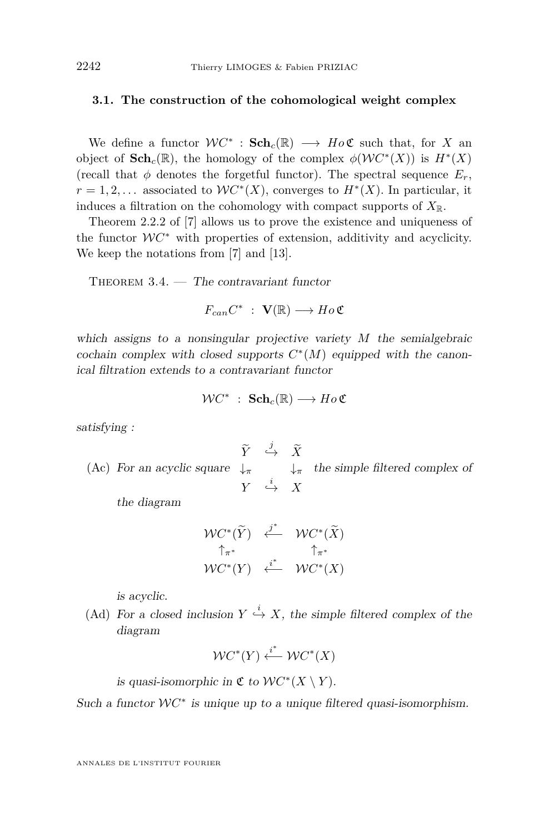# <span id="page-8-0"></span>**3.1. The construction of the cohomological weight complex**

We define a functor  $WC^*$ :  $Sch_c(\mathbb{R}) \longrightarrow Ho\mathfrak{C}$  such that, for *X* and object of  $\mathbf{Sch}_c(\mathbb{R})$ , the homology of the complex  $\phi(\mathcal{W}C^*(X))$  is  $H^*(X)$ (recall that  $\phi$  denotes the forgetful functor). The spectral sequence  $E_r$ ,  $r = 1, 2, \ldots$  associated to  $WC^*(X)$ , converges to  $H^*(X)$ . In particular, it induces a filtration on the cohomology with compact supports of  $X_{\mathbb{R}}$ .

Theorem 2.2.2 of [\[7\]](#page-37-0) allows us to prove the existence and uniqueness of the functor  $W C^*$  with properties of extension, additivity and acyclicity. We keep the notations from [\[7\]](#page-37-0) and [\[13\]](#page-37-0).

THEOREM  $3.4.$  — The contravariant functor

 $F_{can}C^*$  :  $\mathbf{V}(\mathbb{R}) \longrightarrow Ho\mathfrak{C}$ 

which assigns to a nonsingular projective variety *M* the semialgebraic cochain complex with closed supports  $C^*(M)$  equipped with the canonical filtration extends to a contravariant functor

$$
\mathcal{W}C^* \; : \; \mathbf{Sch}_c(\mathbb{R}) \longrightarrow Ho\,\mathfrak{C}
$$

satisfying :

(Ac) For an acyclic square *Y*e *,*<sup>→</sup> *<sup>X</sup>*<sup>e</sup>  $\tilde{Y} \stackrel{j}{\hookrightarrow} \tilde{X}$ ↓*<sup>π</sup>* ↓*<sup>π</sup> Y* → *X* the simple filtered complex of

the diagram

$$
\begin{array}{ccc}\n\mathcal{W}C^*(\widetilde{Y}) & \stackrel{\cdot j^*}{\longleftarrow} & \mathcal{W}C^*(\widetilde{X}) \\
\uparrow_{\pi^*} & \uparrow_{\pi^*} \\
\mathcal{W}C^*(Y) & \stackrel{\cdot i^*}{\longleftarrow} & \mathcal{W}C^*(X)\n\end{array}
$$

is acyclic.

(Ad) For a closed inclusion  $Y \stackrel{i}{\hookrightarrow} X$ , the simple filtered complex of the diagram

$$
\mathcal{W}C^*(Y) \xleftarrow{i^*} \mathcal{W}C^*(X)
$$

is quasi-isomorphic in  $\mathfrak{C}$  to  $\mathcal{W}C^*(X \setminus Y)$ .

Such a functor  $WC^*$  is unique up to a unique filtered quasi-isomorphism.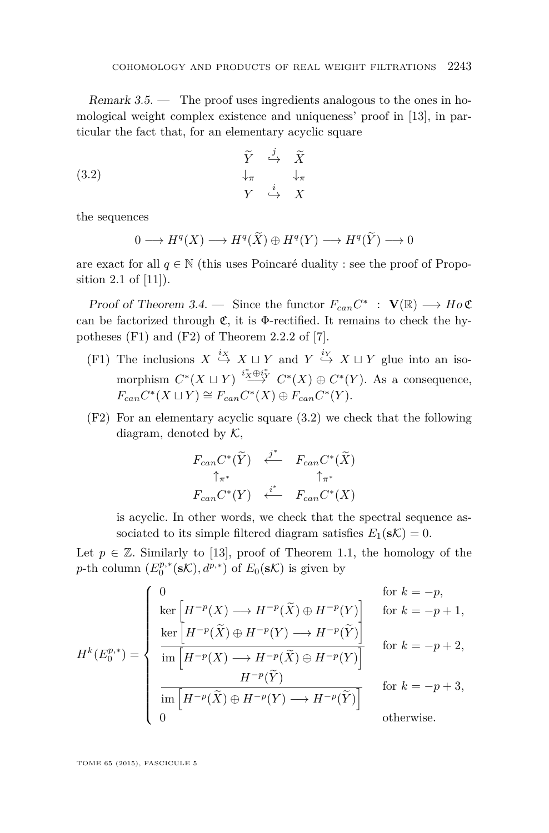<span id="page-9-0"></span>Remark  $3.5.$  — The proof uses ingredients analogous to the ones in homological weight complex existence and uniqueness' proof in [\[13\]](#page-37-0), in particular the fact that, for an elementary acyclic square

(3.2) 
$$
\begin{array}{ccccc}\n\widetilde{Y} & \stackrel{j}{\hookrightarrow} & \widetilde{X} \\
\downarrow_{\pi} & & \downarrow_{\pi} \\
Y & \stackrel{i}{\hookrightarrow} & X\n\end{array}
$$

the sequences

$$
0 \longrightarrow H^{q}(X) \longrightarrow H^{q}(\widetilde{X}) \oplus H^{q}(Y) \longrightarrow H^{q}(\widetilde{Y}) \longrightarrow 0
$$

are exact for all  $q \in \mathbb{N}$  (this uses Poincaré duality : see the proof of Proposition 2.1 of [\[11\]](#page-37-0)).

Proof of Theorem [3.4.](#page-8-0) — Since the functor  $F_{can}C^*$  :  $\mathbf{V}(\mathbb{R}) \longrightarrow Ho\mathfrak{C}$ can be factorized through  $\mathfrak{C}$ , it is  $\Phi$ -rectified. It remains to check the hypotheses (F1) and (F2) of Theorem 2.2.2 of [\[7\]](#page-37-0).

- (F1) The inclusions  $X \stackrel{i_X}{\hookrightarrow} X \sqcup Y$  and  $Y \stackrel{i_Y}{\hookrightarrow} X \sqcup Y$  glue into an isomorphism  $C^*(X \sqcup Y) \stackrel{i^* \times \bigoplus i^*}{\longrightarrow} C^*(X) \oplus C^*(Y)$ . As a consequence,  $F_{can}C^*(X \sqcup Y) \cong F_{can}C^*(X) \oplus F_{can}C^*(Y).$
- (F2) For an elementary acyclic square (3.2) we check that the following diagram, denoted by  $K$ ,

$$
F_{can}C^*(\widetilde{Y}) \xleftarrow{\ j^*} F_{can}C^*(\widetilde{X})
$$
  
\n
$$
\uparrow_{\pi^*} \qquad \uparrow_{\pi^*}
$$
  
\n
$$
F_{can}C^*(Y) \xleftarrow{i^*} F_{can}C^*(X)
$$

is acyclic. In other words, we check that the spectral sequence associated to its simple filtered diagram satisfies  $E_1(\mathbf{s}\mathcal{K}) = 0$ .

Let  $p \in \mathbb{Z}$ . Similarly to [\[13\]](#page-37-0), proof of Theorem 1.1, the homology of the *p*-th column  $(E_0^{p,*}(\mathbf{s}K), d^{p,*})$  of  $E_0(\mathbf{s}K)$  is given by

$$
H^{k}(E_{0}^{p,*}) = \begin{cases} 0 & \text{for } k = -p, \\ \ker\left[H^{-p}(\widetilde{X}) \oplus H^{-p}(\widetilde{Y}) \oplus H^{-p}(Y)\right] & \text{for } k = -p+1, \\ \frac{\ker\left[H^{-p}(\widetilde{X}) \oplus H^{-p}(Y) \longrightarrow H^{-p}(\widetilde{Y}) \right]}{\operatorname{im}\left[H^{-p}(X) \longrightarrow H^{-p}(\widetilde{X}) \oplus H^{-p}(Y)\right]} & \text{for } k = -p+2, \\ \frac{H^{-p}(\widetilde{Y})}{\operatorname{im}\left[H^{-p}(\widetilde{X}) \oplus H^{-p}(Y) \longrightarrow H^{-p}(\widetilde{Y}) \right]} & \text{for } k = -p+3, \\ 0 & \text{otherwise.} \end{cases}
$$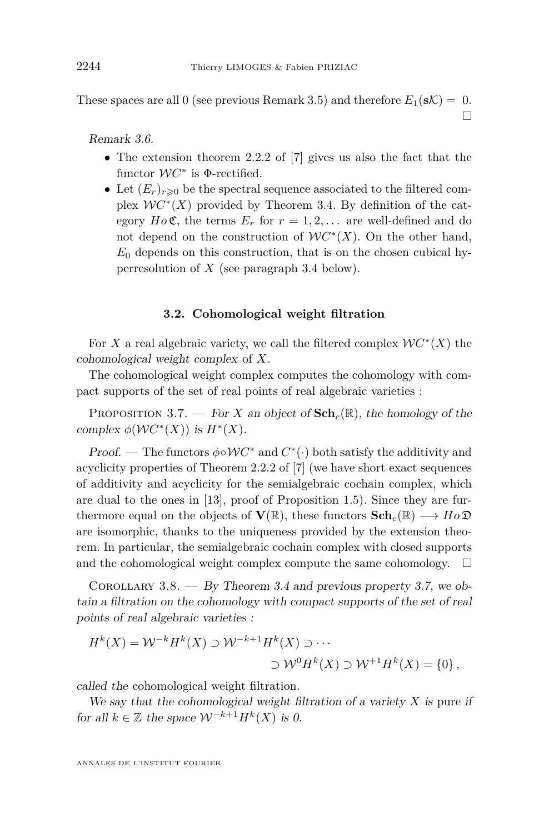These spaces are all 0 (see previous Remark [3.5\)](#page-9-0) and therefore  $E_1(\mathbf{s} \mathcal{K}) = 0$ .  $\Box$ 

Remark 3.6.

- The extension theorem 2.2.2 of [\[7\]](#page-37-0) gives us also the fact that the functor  $WC^*$  is  $\Phi$ -rectified.
- Let  $(E_r)_{r>0}$  be the spectral sequence associated to the filtered complex  $WC^*(X)$  provided by Theorem [3.4.](#page-8-0) By definition of the category  $Ho\mathfrak{C}$ , the terms  $E_r$  for  $r = 1, 2, \ldots$  are well-defined and do not depend on the construction of  $WC^*(X)$ . On the other hand,  $E_0$  depends on this construction, that is on the chosen cubical hyperresolution of *X* (see paragraph [3.4](#page-12-0) below).

# **3.2. Cohomological weight filtration**

For *X* a real algebraic variety, we call the filtered complex  $WC^*(X)$  the cohomological weight complex of *X*.

The cohomological weight complex computes the cohomology with compact supports of the set of real points of real algebraic varieties :

PROPOSITION 3.7. — For *X* an object of  $Sch_c(\mathbb{R})$ , the homology of the complex  $\phi(WC^*(X))$  is  $H^*(X)$ .

*Proof.* — The functors  $\phi \circ \mathcal{W}C^*$  and  $C^*(\cdot)$  both satisfy the additivity and acyclicity properties of Theorem 2.2.2 of [\[7\]](#page-37-0) (we have short exact sequences of additivity and acyclicity for the semialgebraic cochain complex, which are dual to the ones in [\[13\]](#page-37-0), proof of Proposition 1.5). Since they are furthermore equal on the objects of  $\mathbf{V}(\mathbb{R})$ , these functors  $\mathbf{Sch}_c(\mathbb{R}) \longrightarrow Ho\mathfrak{D}$ are isomorphic, thanks to the uniqueness provided by the extension theorem. In particular, the semialgebraic cochain complex with closed supports and the cohomological weight complex compute the same cohomology.  $\square$ 

COROLLARY 3.8. — By Theorem [3.4](#page-8-0) and previous property 3.7, we obtain a filtration on the cohomology with compact supports of the set of real points of real algebraic varieties :

$$
H^k(X) = \mathcal{W}^{-k}H^k(X) \supset \mathcal{W}^{-k+1}H^k(X) \supset \cdots
$$
  
 
$$
\sup \mathcal{W}^0H^k(X) \supset \mathcal{W}^{+1}H^k(X) = \{0\},
$$

called the cohomological weight filtration.

We say that the cohomological weight filtration of a variety *X* is pure if for all  $k \in \mathbb{Z}$  the space  $W^{-k+1}H^{k}(X)$  is 0.

ANNALES DE L'INSTITUT FOURIER

<span id="page-10-0"></span>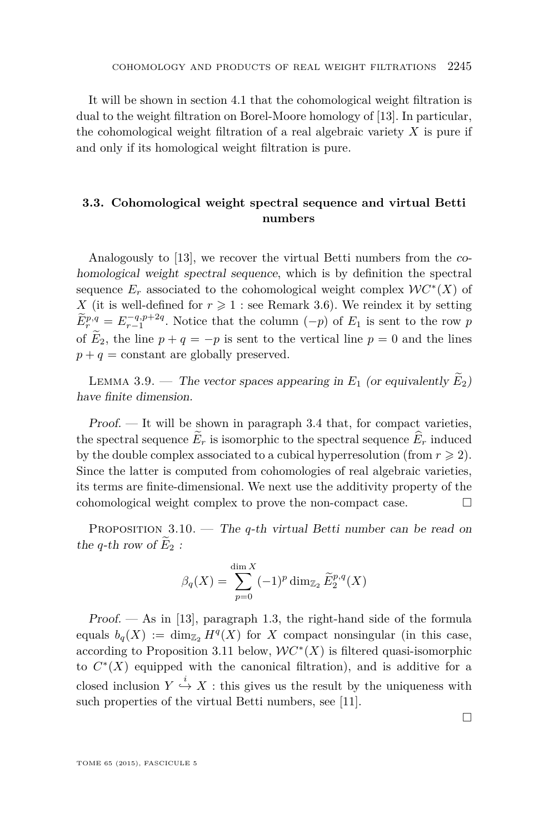<span id="page-11-0"></span>It will be shown in section [4.1](#page-15-0) that the cohomological weight filtration is dual to the weight filtration on Borel-Moore homology of [\[13\]](#page-37-0). In particular, the cohomological weight filtration of a real algebraic variety *X* is pure if and only if its homological weight filtration is pure.

# **3.3. Cohomological weight spectral sequence and virtual Betti numbers**

Analogously to [\[13\]](#page-37-0), we recover the virtual Betti numbers from the cohomological weight spectral sequence, which is by definition the spectral sequence  $E_r$  associated to the cohomological weight complex  $\mathcal{W}C^*(X)$  of *X* (it is well-defined for  $r \geq 1$ : see Remark [3.6\)](#page-10-0). We reindex it by setting  $\widetilde{E}^{p,q}_{r} = E^{q,p+2q}_{r-1}$ . Notice that the column  $(-p)$  of  $E_1$  is sent to the row *p* of  $\widetilde{E}_2$ , the line  $p + q = -p$  is sent to the vertical line  $p = 0$  and the lines  $p + q =$  constant are globally preserved.

LEMMA 3.9. — The vector spaces appearing in  $E_1$  (or equivalently  $E_2$ ) have finite dimension.

Proof. — It will be shown in paragraph [3.4](#page-12-0) that, for compact varieties, the spectral sequence  $\widetilde{E}_r$  is isomorphic to the spectral sequence  $\widehat{E}_r$  induced by the double complex associated to a cubical hyperresolution (from  $r \geq 2$ ). Since the latter is computed from cohomologies of real algebraic varieties, its terms are finite-dimensional. We next use the additivity property of the cohomological weight complex to prove the non-compact case.

Proposition 3.10. — The *q*-th virtual Betti number can be read on the *q*-th row of  $E_2$ :

$$
\beta_q(X) = \sum_{p=0}^{\dim X} (-1)^p \dim_{\mathbb{Z}_2} \widetilde{E}_2^{p,q}(X)
$$

 $Proof.$  — As in [\[13\]](#page-37-0), paragraph 1.3, the right-hand side of the formula equals  $b_q(X) := \dim_{\mathbb{Z}_2} H^q(X)$  for X compact nonsingular (in this case, according to Proposition [3.11](#page-12-0) below,  $WC^*(X)$  is filtered quasi-isomorphic to  $C^*(X)$  equipped with the canonical filtration), and is additive for a closed inclusion  $Y \stackrel{i}{\hookrightarrow} X$ : this gives us the result by the uniqueness with such properties of the virtual Betti numbers, see [\[11\]](#page-37-0).

 $\Box$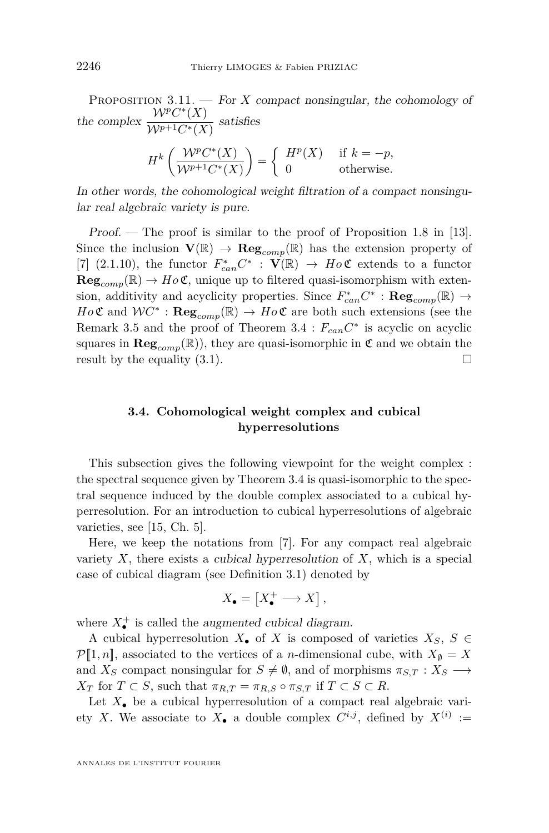<span id="page-12-0"></span>PROPOSITION 3.11. — For *X* compact nonsingular, the cohomology of the complex  $\frac{\mathcal{W}^p C^*(X)}{\mathcal{W}^{p+1} C^*(X)}$  $\frac{\sqrt{N}p+1}{C^*(X)}$  satisfies

$$
H^k\left(\frac{\mathcal{W}^p C^*(X)}{\mathcal{W}^{p+1} C^*(X)}\right) = \begin{cases} H^p(X) & \text{if } k = -p, \\ 0 & \text{otherwise.} \end{cases}
$$

In other words, the cohomological weight filtration of a compact nonsingular real algebraic variety is pure.

Proof. — The proof is similar to the proof of Proposition 1.8 in [\[13\]](#page-37-0). Since the inclusion  $\mathbf{V}(\mathbb{R}) \to \mathbf{Reg}_{comp}(\mathbb{R})$  has the extension property of [\[7\]](#page-37-0) (2.1.10), the functor  $F_{can}^* C^*$  :  $\mathbf{V}(\mathbb{R}) \to Ho\mathfrak{C}$  extends to a functor  $\text{Reg}_{comp}(\mathbb{R}) \to Ho\mathfrak{C}$ , unique up to filtered quasi-isomorphism with extension, additivity and acyclicity properties. Since  $F_{can}^* C^*$  :  $\mathbf{Reg}_{comp}(\mathbb{R}) \rightarrow$  $Ho\mathfrak{C}$  and  $WC^*$ :  $\mathbf{Reg}_{comp}(\mathbb{R}) \to Ho\mathfrak{C}$  are both such extensions (see the Remark [3.5](#page-9-0) and the proof of Theorem  $3.4 : F_{can}C^*$  $3.4 : F_{can}C^*$  is acyclic on acyclic squares in  $\text{Reg}_{comp}(\mathbb{R})$ , they are quasi-isomorphic in  $\mathfrak{C}$  and we obtain the result by the equality  $(3.1)$ .

# **3.4. Cohomological weight complex and cubical hyperresolutions**

This subsection gives the following viewpoint for the weight complex : the spectral sequence given by Theorem [3.4](#page-8-0) is quasi-isomorphic to the spectral sequence induced by the double complex associated to a cubical hyperresolution. For an introduction to cubical hyperresolutions of algebraic varieties, see [\[15,](#page-37-0) Ch. 5].

Here, we keep the notations from [\[7\]](#page-37-0). For any compact real algebraic variety *X*, there exists a cubical hyperresolution of *X*, which is a special case of cubical diagram (see Definition [3.1\)](#page-7-0) denoted by

$$
X_{\bullet} = \left[ X_{\bullet}^{+} \longrightarrow X \right],
$$

where  $X_{\bullet}^{+}$  is called the *augmented cubical diagram*.

A cubical hyperresolution  $X_{\bullet}$  of *X* is composed of varieties  $X_S, S \in$  $\mathcal{P}[1,n]$ , associated to the vertices of a *n*-dimensional cube, with  $X_{\emptyset} = X$ and *X<sub>S</sub>* compact nonsingular for  $S \neq \emptyset$ , and of morphisms  $\pi_{S,T}: X_S \longrightarrow$  $X_T$  for  $T \subset S$ , such that  $\pi_{R,T} = \pi_{R,S} \circ \pi_{S,T}$  if  $T \subset S \subset R$ .

Let  $X_{\bullet}$  be a cubical hyperresolution of a compact real algebraic variety *X*. We associate to  $X_{\bullet}$  a double complex  $C^{i,j}$ , defined by  $X^{(i)}$  :=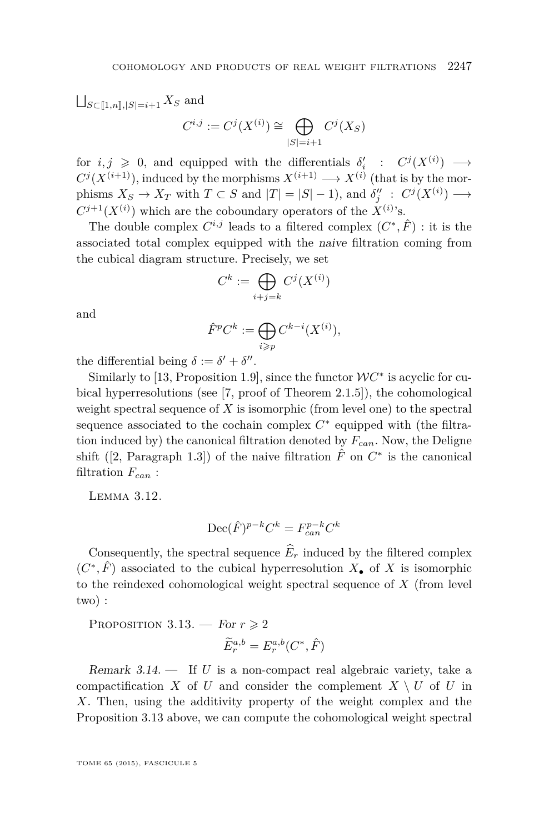$|S|=i+1$ 

<span id="page-13-0"></span> $\bigcup_{S \subset [\![1,n]\!], |S|=i+1} X_S$  and  $C^{i,j} := C^j(X^{(i)}) \cong \bigoplus$  $C^j(X_S)$ 

 $f$  for  $i, j \geq 0$ , and equipped with the differentials  $\delta'_{i}$  :  $C^{j}(X^{(i)}) \longrightarrow$  $C^j(X^{(i+1)})$ , induced by the morphisms  $X^{(i+1)} \longrightarrow X^{(i)}$  (that is by the morphisms  $X_S \to X_T$  with  $T \subset S$  and  $|T| = |S| - 1$ , and  $\delta_j'' : C^j(X^{(i)}) \longrightarrow$  $C^{j+1}(X^{(i)})$  which are the coboundary operators of the  $X^{(i)}$ 's.

The double complex  $C^{i,j}$  leads to a filtered complex  $(C^*, \hat{F})$ : it is the associated total complex equipped with the naive filtration coming from the cubical diagram structure. Precisely, we set

$$
C^k := \bigoplus_{i+j=k} C^j(X^{(i)})
$$

and

$$
\hat{F}^p C^k := \bigoplus_{i \geqslant p} C^{k-i}(X^{(i)}),
$$

the differential being  $\delta := \delta' + \delta''$ .

Similarly to [\[13,](#page-37-0) Proposition 1.9], since the functor  $WC^*$  is acyclic for cubical hyperresolutions (see [\[7,](#page-37-0) proof of Theorem 2.1.5]), the cohomological weight spectral sequence of *X* is isomorphic (from level one) to the spectral sequence associated to the cochain complex  $C^*$  equipped with (the filtration induced by) the canonical filtration denoted by *Fcan*. Now, the Deligne shift ([\[2,](#page-36-0) Paragraph 1.3]) of the naive filtration  $\hat{F}$  on  $C^*$  is the canonical filtration *Fcan* :

Lemma 3.12.

$$
\text{Dec}(\hat{F})^{p-k}C^k = F_{can}^{p-k}C^k
$$

Consequently, the spectral sequence  $\widehat{E}_r$  induced by the filtered complex  $(C^*, \hat{F})$  associated to the cubical hyperresolution  $X_{\bullet}$  of X is isomorphic to the reindexed cohomological weight spectral sequence of *X* (from level two) :

PROPOSITION 3.13. — For  $r \geq 2$  $\widetilde{E}_r^{a,b} = E_r^{a,b}(C^*, \hat{F})$ 

Remark 3.14. — If *U* is a non-compact real algebraic variety, take a compactification *X* of *U* and consider the complement  $X \setminus U$  of *U* in *X*. Then, using the additivity property of the weight complex and the Proposition 3.13 above, we can compute the cohomological weight spectral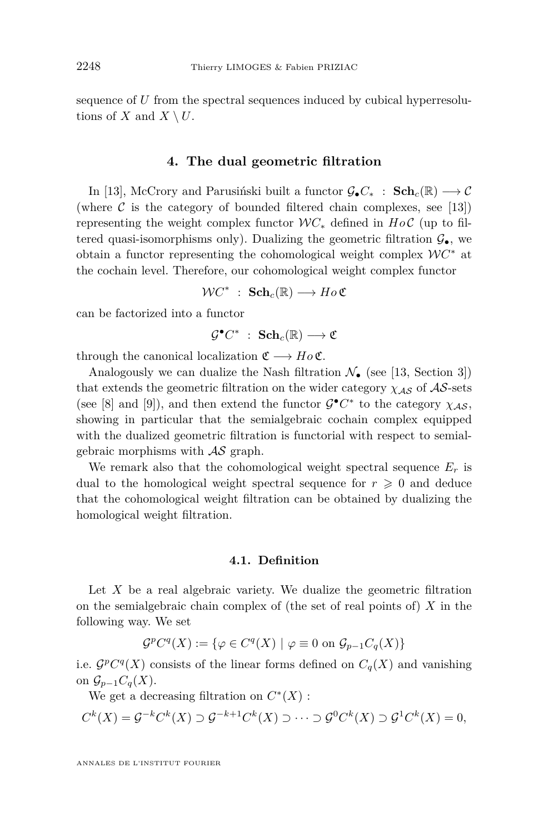<span id="page-14-0"></span>sequence of *U* from the spectral sequences induced by cubical hyperresolutions of *X* and  $X \setminus U$ .

# **4. The dual geometric filtration**

In [\[13\]](#page-37-0), McCrory and Parusiński built a functor  $\mathcal{G}_{\bullet}C_{*}$  :  $\mathbf{Sch}_{c}(\mathbb{R}) \longrightarrow \mathcal{C}$ (where  $\mathcal C$  is the category of bounded filtered chain complexes, see [\[13\]](#page-37-0)) representing the weight complex functor  $\mathcal{W}C_*$  defined in  $Ho\mathcal{C}$  (up to filtered quasi-isomorphisms only). Dualizing the geometric filtration  $\mathcal{G}_{\bullet}$ , we obtain a functor representing the cohomological weight complex W*C* <sup>∗</sup> at the cochain level. Therefore, our cohomological weight complex functor

 $WC^*$  : **Sch**<sub>*c*</sub>( $\mathbb{R}$ )  $\longrightarrow$  *Ho* **C** 

can be factorized into a functor

$$
\mathcal{G}^{\bullet}C^*\;:\;\mathbf{Sch}_c(\mathbb{R})\longrightarrow \mathfrak{C}
$$

through the canonical localization  $\mathfrak{C} \longrightarrow Ho\mathfrak{C}$ .

Analogously we can dualize the Nash filtration  $\mathcal{N}_{\bullet}$  (see [\[13,](#page-37-0) Section 3]) that extends the geometric filtration on the wider category  $\chi_{AS}$  of  $AS$ -sets (see [\[8\]](#page-37-0) and [\[9\]](#page-37-0)), and then extend the functor  $\mathcal{G}^{\bullet}C^*$  to the category  $\chi_{\mathcal{AS}}$ , showing in particular that the semialgebraic cochain complex equipped with the dualized geometric filtration is functorial with respect to semialgebraic morphisms with  $\mathcal{A}\mathcal{S}$  graph.

We remark also that the cohomological weight spectral sequence  $E_r$  is dual to the homological weight spectral sequence for  $r \geqslant 0$  and deduce that the cohomological weight filtration can be obtained by dualizing the homological weight filtration.

# **4.1. Definition**

Let *X* be a real algebraic variety. We dualize the geometric filtration on the semialgebraic chain complex of (the set of real points of) *X* in the following way. We set

$$
\mathcal{G}^p C^q(X) := \{ \varphi \in C^q(X) \mid \varphi \equiv 0 \text{ on } \mathcal{G}_{p-1} C_q(X) \}
$$

i.e.  $\mathcal{G}^p C^q(X)$  consists of the linear forms defined on  $C_q(X)$  and vanishing on  $\mathcal{G}_{p-1}C_q(X)$ .

We get a decreasing filtration on  $C^*(X)$ :

 $C^k(X) = \mathcal{G}^{-k}C^k(X) \supset \mathcal{G}^{-k+1}C^k(X) \supset \cdots \supset \mathcal{G}^0C^k(X) \supset \mathcal{G}^1C^k(X) = 0,$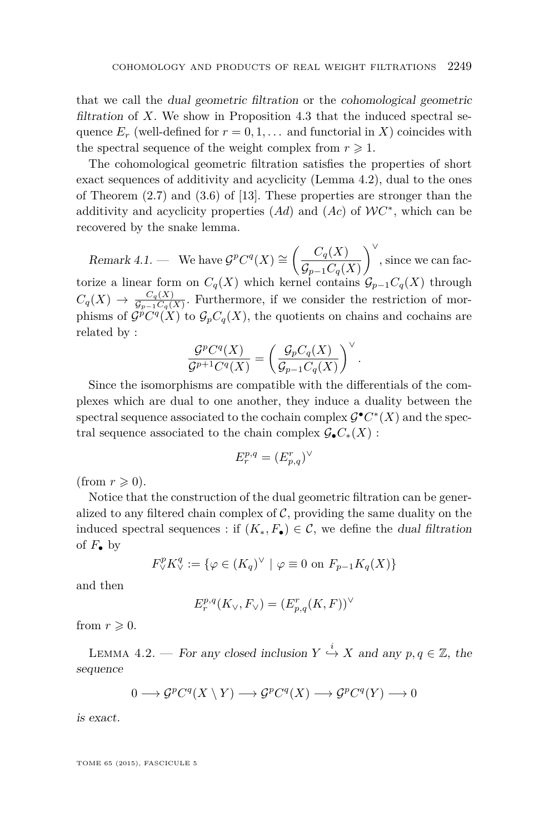<span id="page-15-0"></span>that we call the dual geometric filtration or the cohomological geometric filtration of  $X$ . We show in Proposition [4.3](#page-16-0) that the induced spectral sequence  $E_r$  (well-defined for  $r = 0, 1, \ldots$  and functorial in X) coincides with the spectral sequence of the weight complex from  $r \geq 1$ .

The cohomological geometric filtration satisfies the properties of short exact sequences of additivity and acyclicity (Lemma 4.2), dual to the ones of Theorem  $(2.7)$  and  $(3.6)$  of [\[13\]](#page-37-0). These properties are stronger than the additivity and acyclicity properties (*Ad*) and (*Ac*) of W*C* ∗ , which can be recovered by the snake lemma.

 $\text{Remark } 4.1.$  — We have  $\mathcal{G}^p C^q(X) \cong \left( \frac{C_q(X)}{C_q(X)} \right)$  $\mathcal{G}_{p-1}C_q(X)$  $\bigg\}^{\vee}$ , since we can factorize a linear form on  $C_q(X)$  which kernel contains  $\mathcal{G}_{p-1}C_q(X)$  through  $C_q(X) \rightarrow \frac{C_q(X)}{G_{n-1}C_q(X)}$  $\frac{C_q(\Lambda)}{G_{p-1}C_q(X)}$ . Furthermore, if we consider the restriction of morphisms of  $\mathcal{G}^p C^q(X)$  to  $\mathcal{G}_p C_q(X)$ , the quotients on chains and cochains are related by :

$$
\frac{\mathcal{G}^p C^q(X)}{\mathcal{G}^{p+1} C^q(X)} = \left(\frac{\mathcal{G}_p C_q(X)}{\mathcal{G}_{p-1} C_q(X)}\right)^{\vee}.
$$

Since the isomorphisms are compatible with the differentials of the complexes which are dual to one another, they induce a duality between the spectral sequence associated to the cochain complex  $\mathcal{G}^{\bullet} C^*(X)$  and the spectral sequence associated to the chain complex  $\mathcal{G}_{\bullet}C_{*}(X)$ :

$$
E_r^{p,q}=(E_{p,q}^r)^\vee
$$

(from  $r \geqslant 0$ ).

Notice that the construction of the dual geometric filtration can be generalized to any filtered chain complex of  $\mathcal{C}$ , providing the same duality on the induced spectral sequences : if  $(K_*, F_{\bullet}) \in \mathcal{C}$ , we define the *dual filtration* of  $F_{\bullet}$  by

$$
F_{\vee}^p K_{\vee}^q := \{ \varphi \in (K_q)^{\vee} \mid \varphi \equiv 0 \text{ on } F_{p-1} K_q(X) \}
$$

and then

$$
E_r^{p,q}(K_\vee, F_\vee) = (E_{p,q}^r(K, F))^\vee
$$

from  $r \geqslant 0$ .

LEMMA 4.2. — For any closed inclusion  $Y \stackrel{i}{\hookrightarrow} X$  and any  $p, q \in \mathbb{Z}$ , the sequence

$$
0 \longrightarrow \mathcal{G}^p C^q(X \setminus Y) \longrightarrow \mathcal{G}^p C^q(X) \longrightarrow \mathcal{G}^p C^q(Y) \longrightarrow 0
$$

is exact.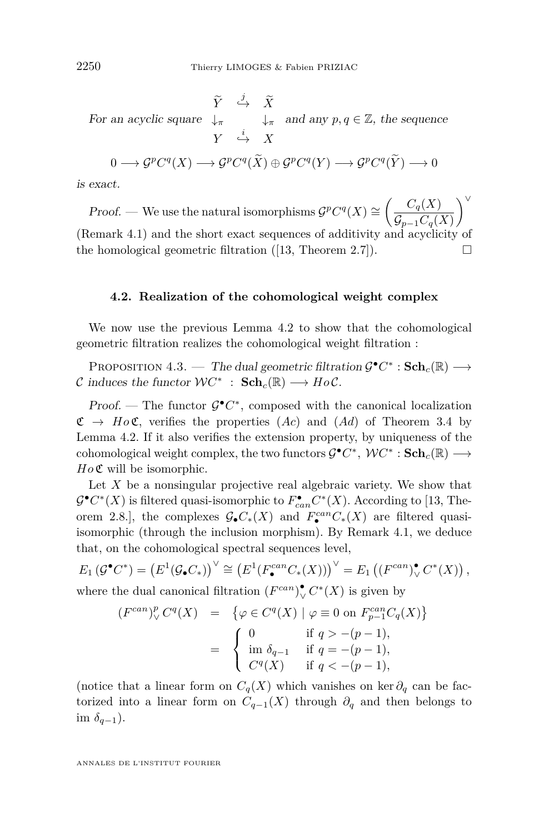For an acyclic square  $\downarrow_{\pi}$   $\downarrow_{\pi}$  $\tilde{Y} \stackrel{j}{\longrightarrow} \tilde{X}$ ↓*<sup>π</sup>* ↓*<sup>π</sup> Y* → *X* and any  $p, q \in \mathbb{Z}$ , the sequence  $0 \longrightarrow \mathcal{G}^p C^q(X) \longrightarrow \mathcal{G}^p C^q(X) \oplus \mathcal{G}^p C^q(Y) \longrightarrow \mathcal{G}^p C^q(Y) \longrightarrow 0$ 

is exact.

*Proof.* — We use the natural isomorphisms  $\mathcal{G}^p C^q(X) \cong \left( \frac{C_q(X)}{C_q(X)} \right)$  $\mathcal{G}_{p−1}C_q(X)$ ∨ (Remark [4.1\)](#page-15-0) and the short exact sequences of additivity and acyclicity of the homological geometric filtration ([\[13,](#page-37-0) Theorem 2.7]).  $\square$ 

## **4.2. Realization of the cohomological weight complex**

We now use the previous Lemma [4.2](#page-15-0) to show that the cohomological geometric filtration realizes the cohomological weight filtration :

PROPOSITION 4.3. — The dual geometric filtration  $\mathcal{G}^{\bullet} C^* : \mathbf{Sch}_c(\mathbb{R}) \longrightarrow$ C induces the functor  $WC^*$  :  $\mathbf{Sch}_c(\mathbb{R}) \longrightarrow HoC$ .

Proof. — The functor  $\mathcal{G}^{\bullet}C^*$ , composed with the canonical localization  $\mathfrak{C} \rightarrow Ho\mathfrak{C}$ , verifies the properties  $(Ac)$  and  $(Ad)$  of Theorem [3.4](#page-8-0) by Lemma [4.2.](#page-15-0) If it also verifies the extension property, by uniqueness of the  $\text{cohomological weight complex, the two functors } \mathcal{G}^{\bullet}C^*, \mathcal{W}C^* : \mathbf{Sch}_c(\mathbb{R}) \longrightarrow$ *Ho*  $\mathfrak C$  will be isomorphic.

Let *X* be a nonsingular projective real algebraic variety. We show that  $\mathcal{G}^{\bullet} C^{*}(X)$  is filtered quasi-isomorphic to  $F_{can}^{\bullet} C^{*}(X)$ . According to [\[13,](#page-37-0) Theorem 2.8.], the complexes  $\mathcal{G}_{\bullet}C_{*}(X)$  and  $F_{\bullet}^{can}C_{*}(X)$  are filtered quasiisomorphic (through the inclusion morphism). By Remark [4.1,](#page-15-0) we deduce that, on the cohomological spectral sequences level,

$$
E_1(\mathcal{G}^{\bullet}C^*) = \left(E^1(\mathcal{G}_{\bullet}C_*)\right)^{\vee} \cong \left(E^1(F_{\bullet}^{can}C_*(X))\right)^{\vee} = E_1\left((F^{can})^{\bullet}_{\vee}C^*(X)\right),
$$

where the dual canonical filtration  $(F^{can})^{\bullet}_{\vee} C^*(X)$  is given by

$$
(F^{can})^p_{\vee} C^q(X) = \{ \varphi \in C^q(X) \mid \varphi \equiv 0 \text{ on } F^{can}_{p-1} C_q(X) \}
$$
  

$$
= \begin{cases} 0 & \text{if } q > -(p-1), \\ \text{im } \delta_{q-1} & \text{if } q = -(p-1), \\ C^q(X) & \text{if } q < -(p-1), \end{cases}
$$

(notice that a linear form on  $C_q(X)$  which vanishes on ker  $\partial_q$  can be factorized into a linear form on  $C_{q-1}(X)$  through  $\partial_q$  and then belongs to im  $\delta_{q-1}$ ).

<span id="page-16-0"></span>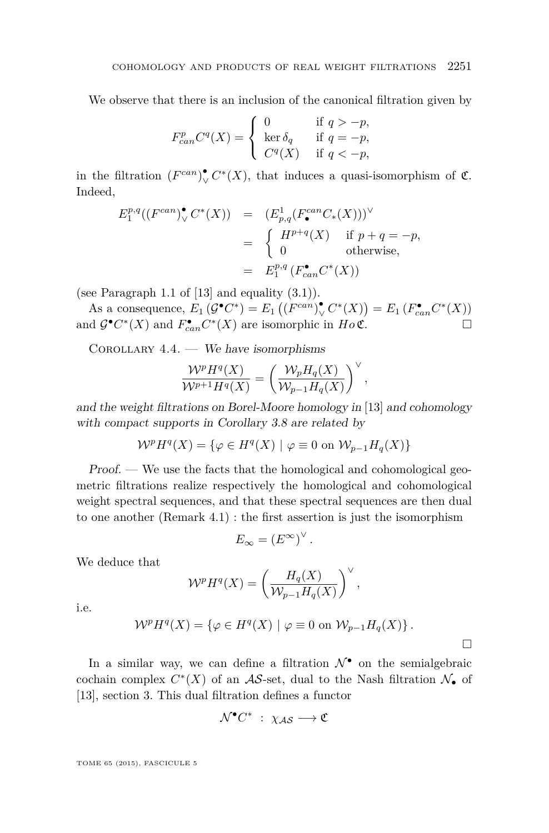<span id="page-17-0"></span>We observe that there is an inclusion of the canonical filtration given by

$$
F_{can}^p C^q(X) = \begin{cases} 0 & \text{if } q > -p, \\ \ker \delta_q & \text{if } q = -p, \\ C^q(X) & \text{if } q < -p, \end{cases}
$$

in the filtration  $(F^{can})^{\bullet}_{\vee} C^*(X)$ , that induces a quasi-isomorphism of  $\mathfrak{C}$ . Indeed,

$$
E_1^{p,q}((F^{can})^{\bullet}_\vee C^*(X)) = (E_{p,q}^1(F^{can}_{\bullet}C_*(X)))^{\vee}
$$
  
= 
$$
\begin{cases} H^{p+q}(X) & \text{if } p+q = -p, \\ 0 & \text{otherwise,} \end{cases}
$$
  
= 
$$
E_1^{p,q}(F_{can}^{\bullet}C^*(X))
$$

(see Paragraph 1.1 of  $[13]$  and equality  $(3.1)$ ).

As a consequence,  $E_1(G^{\bullet}C^*) = E_1((F^{can})^{\bullet}_{\vee} C^*(X)) = E_1(F_{can}^{\bullet}C^*(X))$ and  $\mathcal{G}^{\bullet} C^*(X)$  and  $F_{can}^{\bullet} C^*(X)$  are isomorphic in  $H \circ \mathfrak{C}$ .

 $COROLLARY 4.4.$  — We have isomorphisms

$$
\frac{\mathcal{W}^p H^q(X)}{\mathcal{W}^{p+1} H^q(X)} = \left(\frac{\mathcal{W}_p H_q(X)}{\mathcal{W}_{p-1} H_q(X)}\right)^{\vee},
$$

and the weight filtrations on Borel-Moore homology in [\[13\]](#page-37-0) and cohomology with compact supports in Corollary [3.8](#page-10-0) are related by

$$
\mathcal{W}^p H^q(X) = \{ \varphi \in H^q(X) \mid \varphi \equiv 0 \text{ on } \mathcal{W}_{p-1} H_q(X) \}
$$

Proof. — We use the facts that the homological and cohomological geometric filtrations realize respectively the homological and cohomological weight spectral sequences, and that these spectral sequences are then dual to one another (Remark [4.1\)](#page-15-0) : the first assertion is just the isomorphism

$$
E_{\infty} = (E^{\infty})^{\vee}.
$$

We deduce that

$$
\mathcal{W}^p H^q(X) = \left(\frac{H_q(X)}{\mathcal{W}_{p-1} H_q(X)}\right)^{\vee},
$$

i.e.

$$
\mathcal{W}^p H^q(X) = \{ \varphi \in H^q(X) \mid \varphi \equiv 0 \text{ on } \mathcal{W}_{p-1} H_q(X) \}.
$$

In a similar way, we can define a filtration  $\mathcal{N}^{\bullet}$  on the semialgebraic cochain complex  $C^*(X)$  of an  $\mathcal{AS}\text{-set}$ , dual to the Nash filtration  $\mathcal{N}_{\bullet}$  of [\[13\]](#page-37-0), section 3. This dual filtration defines a functor

$$
\mathcal{N}^{\bullet}C^{*}\;:\;\chi_{\mathcal{AS}}\longrightarrow \mathfrak{C}
$$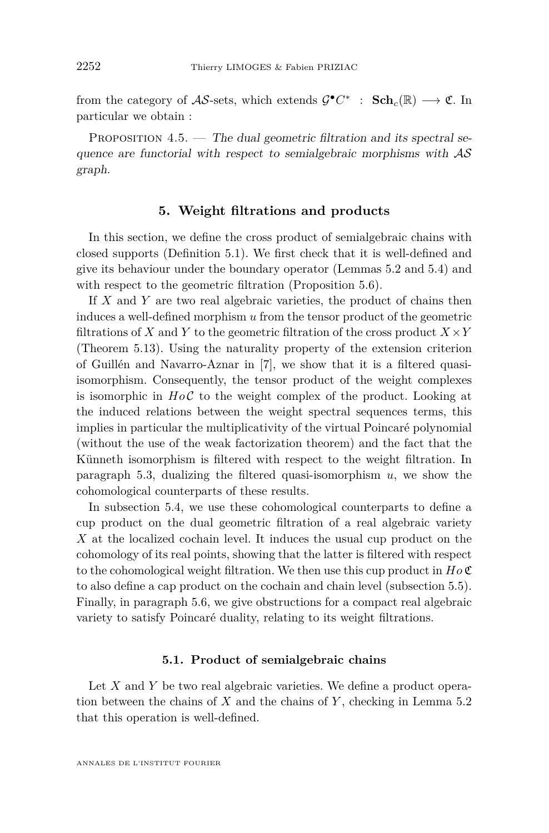from the category of  $\mathcal{AS}\text{-sets}$ , which extends  $\mathcal{G}^{\bullet}C^*$  :  $\text{Sch}_c(\mathbb{R}) \longrightarrow \mathfrak{C}$ . In particular we obtain :

PROPOSITION  $4.5.$  — The dual geometric filtration and its spectral sequence are functorial with respect to semialgebraic morphisms with  $AS$ graph.

# **5. Weight filtrations and products**

In this section, we define the cross product of semialgebraic chains with closed supports (Definition [5.1\)](#page-19-0). We first check that it is well-defined and give its behaviour under the boundary operator (Lemmas [5.2](#page-19-0) and [5.4\)](#page-19-0) and with respect to the geometric filtration (Proposition [5.6\)](#page-20-0).

If *X* and *Y* are two real algebraic varieties, the product of chains then induces a well-defined morphism *u* from the tensor product of the geometric filtrations of *X* and *Y* to the geometric filtration of the cross product  $X \times Y$ (Theorem [5.13\)](#page-26-0). Using the naturality property of the extension criterion of Guillén and Navarro-Aznar in [\[7\]](#page-37-0), we show that it is a filtered quasiisomorphism. Consequently, the tensor product of the weight complexes is isomorphic in  $Ho\mathcal{C}$  to the weight complex of the product. Looking at the induced relations between the weight spectral sequences terms, this implies in particular the multiplicativity of the virtual Poincaré polynomial (without the use of the weak factorization theorem) and the fact that the Künneth isomorphism is filtered with respect to the weight filtration. In paragraph [5.3,](#page-29-0) dualizing the filtered quasi-isomorphism *u*, we show the cohomological counterparts of these results.

In subsection [5.4,](#page-31-0) we use these cohomological counterparts to define a cup product on the dual geometric filtration of a real algebraic variety *X* at the localized cochain level. It induces the usual cup product on the cohomology of its real points, showing that the latter is filtered with respect to the cohomological weight filtration. We then use this cup product in *Ho* C to also define a cap product on the cochain and chain level (subsection [5.5\)](#page-32-0). Finally, in paragraph [5.6,](#page-35-0) we give obstructions for a compact real algebraic variety to satisfy Poincaré duality, relating to its weight filtrations.

### **5.1. Product of semialgebraic chains**

Let *X* and *Y* be two real algebraic varieties. We define a product operation between the chains of *X* and the chains of *Y* , checking in Lemma [5.2](#page-19-0) that this operation is well-defined.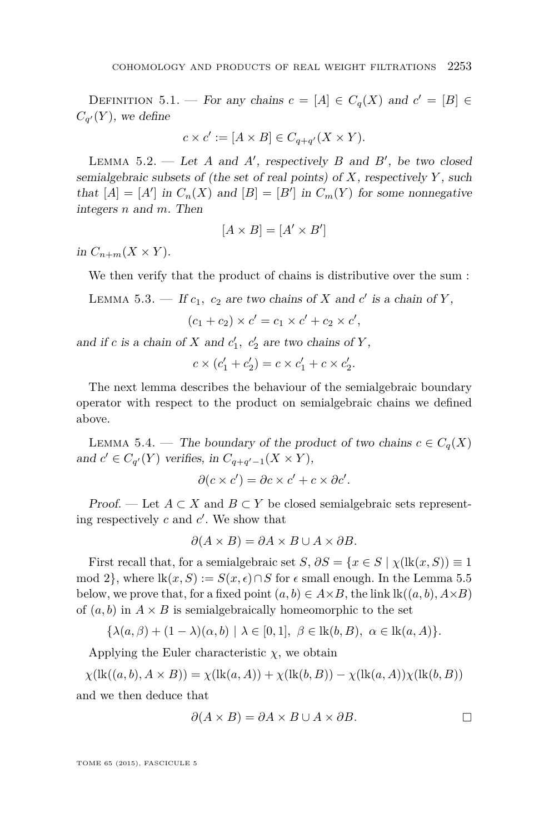<span id="page-19-0"></span>DEFINITION 5.1. — For any chains  $c = [A] \in C_q(X)$  and  $c' = [B] \in$  $C_{q'}(Y)$ , we define

$$
c \times c' := [A \times B] \in C_{q+q'}(X \times Y).
$$

LEMMA  $5.2.$  — Let *A* and *A'*, respectively *B* and *B'*, be two closed semialgebraic subsets of (the set of real points) of *X*, respectively *Y* , such that  $[A] = [A']$  in  $C_n(X)$  and  $[B] = [B']$  in  $C_m(Y)$  for some nonnegative integers *n* and *m*. Then

$$
[A \times B] = [A' \times B']
$$

in  $C_{n+m}(X \times Y)$ .

We then verify that the product of chains is distributive over the sum :

LEMMA 5.3. — If  $c_1$ ,  $c_2$  are two chains of *X* and  $c'$  is a chain of *Y*,

 $(c_1 + c_2) \times c' = c_1 \times c' + c_2 \times c',$ 

and if *c* is a chain of *X* and  $c'_{1}$ ,  $c'_{2}$  are two chains of *Y*,

$$
c \times (c_1' + c_2') = c \times c_1' + c \times c_2'.
$$

The next lemma describes the behaviour of the semialgebraic boundary operator with respect to the product on semialgebraic chains we defined above.

LEMMA 5.4. — The boundary of the product of two chains  $c \in C_q(X)$ and  $c' \in C_{q'}(Y)$  verifies, in  $C_{q+q'-1}(X \times Y)$ ,

$$
\partial(c \times c') = \partial c \times c' + c \times \partial c'.
$$

Proof. — Let  $A \subset X$  and  $B \subset Y$  be closed semialgebraic sets representing respectively  $c$  and  $c'$ . We show that

$$
\partial(A \times B) = \partial A \times B \cup A \times \partial B.
$$

First recall that, for a semialgebraic set *S*,  $\partial S = \{x \in S \mid \chi(\mathrm{lk}(x, S)) \equiv 1\}$ mod 2, where  $\text{lk}(x, S) := S(x, \epsilon) \cap S$  for  $\epsilon$  small enough. In the Lemma [5.5](#page-20-0) below, we prove that, for a fixed point  $(a, b) \in A \times B$ , the link  $lk((a, b), A \times B)$ of  $(a, b)$  in  $A \times B$  is semialgebraically homeomorphic to the set

$$
\{\lambda(a,\beta) + (1-\lambda)(\alpha,b) \mid \lambda \in [0,1], \ \beta \in \text{lk}(b,B), \ \alpha \in \text{lk}(a,A)\}.
$$

Applying the Euler characteristic  $\chi$ , we obtain

 $\chi$ (lk((*a, b*)*, A* × *B*)) =  $\chi$ (lk(*a, A*)) +  $\chi$ (lk(*b, B*)) –  $\chi$ (lk(*a, A*)) $\chi$ (lk(*b, B*)) and we then deduce that

$$
\partial(A \times B) = \partial A \times B \cup A \times \partial B.
$$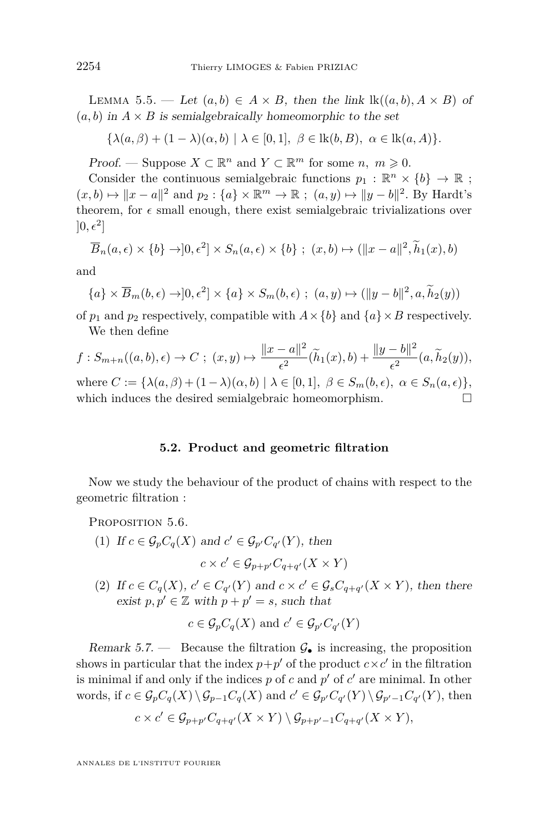<span id="page-20-0"></span>LEMMA 5.5. — Let  $(a, b) \in A \times B$ , then the link  $\text{lk}((a, b), A \times B)$  of  $(a, b)$  in  $A \times B$  is semialgebraically homeomorphic to the set

$$
\{\lambda(a,\beta)+(1-\lambda)(\alpha,b)\mid\lambda\in[0,1],\ \beta\in\mathrm{lk}(b,B),\ \alpha\in\mathrm{lk}(a,A)\}.
$$

*Proof.* — Suppose  $X \subset \mathbb{R}^n$  and  $Y \subset \mathbb{R}^m$  for some  $n, m \geq 0$ .

Consider the continuous semialgebraic functions  $p_1 : \mathbb{R}^n \times \{b\} \to \mathbb{R}$ ;  $(x, b) \mapsto ||x - a||^2$  and  $p_2 : \{a\} \times \mathbb{R}^m \to \mathbb{R}$ ;  $(a, y) \mapsto ||y - b||^2$ . By Hardt's theorem, for  $\epsilon$  small enough, there exist semialgebraic trivializations over  $]0,\epsilon^2]$ 

$$
\overline{B}_n(a,\epsilon) \times \{b\} \to ]0,\epsilon^2] \times S_n(a,\epsilon) \times \{b\} \ ; \ (x,b) \mapsto (\|x-a\|^2, \widetilde{h}_1(x), b)
$$

and

$$
\{a\} \times \overline{B}_m(b,\epsilon) \to ]0,\epsilon^2] \times \{a\} \times S_m(b,\epsilon) ; (a,y) \mapsto (\|y-b\|^2, a, \widetilde{h}_2(y))
$$

of  $p_1$  and  $p_2$  respectively, compatible with  $A \times \{b\}$  and  $\{a\} \times B$  respectively. We then define

$$
f: S_{m+n}((a,b), \epsilon) \to C; (x,y) \mapsto \frac{\|x-a\|^2}{\epsilon^2} (\widetilde{h}_1(x), b) + \frac{\|y-b\|^2}{\epsilon^2} (a, \widetilde{h}_2(y)),
$$
  
where  $C := {\lambda(a, \beta) + (1 - \lambda)(\alpha, b) \mid \lambda \in [0, 1], \ \beta \in S_m(b, \epsilon), \ \alpha \in S_n(a, \epsilon)},$   
which induces the desired semialgebraic homeomorphism.

# **5.2. Product and geometric filtration**

Now we study the behaviour of the product of chains with respect to the geometric filtration :

PROPOSITION 5.6.

(1) If  $c \in \mathcal{G}_p C_q(X)$  and  $c' \in \mathcal{G}_{p'} C_{q'}(Y)$ , then

$$
c \times c' \in \mathcal{G}_{p+p'}C_{q+q'}(X \times Y)
$$

(2) If  $c \in C_q(X)$ ,  $c' \in C_{q'}(Y)$  and  $c \times c' \in \mathcal{G}_s C_{q+q'}(X \times Y)$ , then there exist  $p, p' \in \mathbb{Z}$  with  $p + p' = s$ , such that

$$
c \in \mathcal{G}_p C_q(X)
$$
 and  $c' \in \mathcal{G}_{p'} C_{q'}(Y)$ 

Remark 5.7. — Because the filtration  $\mathcal{G}_{\bullet}$  is increasing, the proposition shows in particular that the index  $p+p'$  of the product  $c \times c'$  in the filtration is minimal if and only if the indices  $p$  of  $c$  and  $p'$  of  $c'$  are minimal. In other words, if  $c \in \mathcal{G}_p C_q(X) \setminus \mathcal{G}_{p-1} C_q(X)$  and  $c' \in \mathcal{G}_{p'} C_{q'}(Y) \setminus \mathcal{G}_{p'-1} C_{q'}(Y)$ , then

$$
c \times c' \in \mathcal{G}_{p+p'}C_{q+q'}(X \times Y) \setminus \mathcal{G}_{p+p'-1}C_{q+q'}(X \times Y),
$$

ANNALES DE L'INSTITUT FOURIER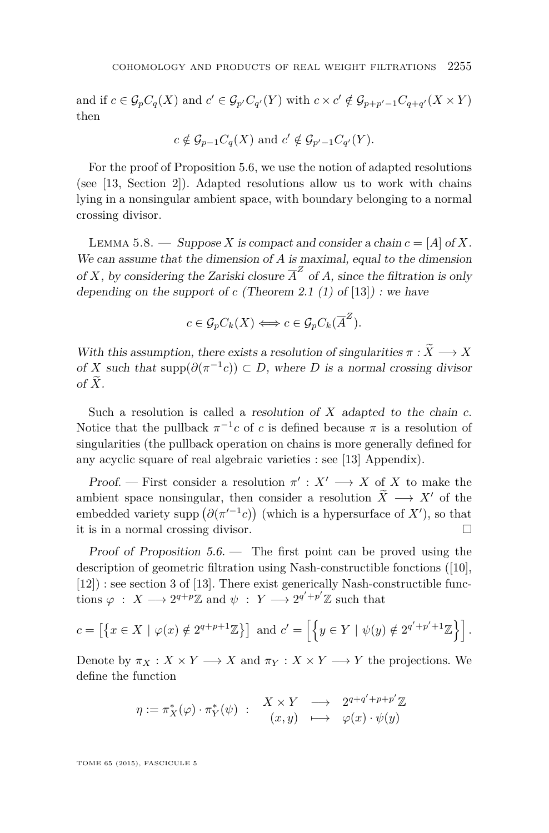<span id="page-21-0"></span>and if  $c \in \mathcal{G}_p C_q(X)$  and  $c' \in \mathcal{G}_{p'} C_{q'}(Y)$  with  $c \times c' \notin \mathcal{G}_{p+p'-1} C_{q+q'}(X \times Y)$ then

$$
c \notin \mathcal{G}_{p-1}C_q(X)
$$
 and  $c' \notin \mathcal{G}_{p'-1}C_{q'}(Y)$ .

For the proof of Proposition [5.6,](#page-20-0) we use the notion of adapted resolutions (see [\[13,](#page-37-0) Section 2]). Adapted resolutions allow us to work with chains lying in a nonsingular ambient space, with boundary belonging to a normal crossing divisor.

LEMMA 5.8. — Suppose X is compact and consider a chain  $c = [A]$  of X. We can assume that the dimension of *A* is maximal, equal to the dimension of *X*, by considering the Zariski closure  $\overline{A}^Z$  of *A*, since the filtration is only depending on the support of  $c$  (Theorem 2.1 (1) of [\[13\]](#page-37-0)) : we have

$$
c \in \mathcal{G}_p C_k(X) \Longleftrightarrow c \in \mathcal{G}_p C_k(\overline{A}^Z).
$$

With this assumption, there exists a resolution of singularities  $\pi : \widetilde{X} \longrightarrow X$ of *X* such that supp $(\partial(\pi^{-1}c)) \subset D$ , where *D* is a normal crossing divisor of  $\widetilde{X}$ .

Such a resolution is called a resolution of *X* adapted to the chain *c*. Notice that the pullback  $\pi^{-1}c$  of *c* is defined because  $\pi$  is a resolution of singularities (the pullback operation on chains is more generally defined for any acyclic square of real algebraic varieties : see [\[13\]](#page-37-0) Appendix).

Proof. — First consider a resolution  $\pi' : X' \longrightarrow X$  of *X* to make the ambient space nonsingular, then consider a resolution  $\widetilde{X} \longrightarrow X'$  of the embedded variety supp  $(\partial (\pi^{-1}c))$  (which is a hypersurface of X'), so that it is in a normal crossing divisor.

Proof of Proposition [5.6.](#page-20-0) — The first point can be proved using the description of geometric filtration using Nash-constructible fonctions ([\[10\]](#page-37-0), [\[12\]](#page-37-0)) : see section 3 of [\[13\]](#page-37-0). There exist generically Nash-constructible functions  $\varphi$  :  $X \longrightarrow 2^{q+p}\mathbb{Z}$  and  $\psi$  :  $Y \longrightarrow 2^{q'+p'}\mathbb{Z}$  such that

$$
c = \left[ \left\{ x \in X \mid \varphi(x) \notin 2^{q+p+1} \mathbb{Z} \right\} \right] \text{ and } c' = \left[ \left\{ y \in Y \mid \psi(y) \notin 2^{q'+p'+1} \mathbb{Z} \right\} \right].
$$

Denote by  $\pi_X : X \times Y \longrightarrow X$  and  $\pi_Y : X \times Y \longrightarrow Y$  the projections. We define the function

$$
\eta := \pi_X^*(\varphi) \cdot \pi_Y^*(\psi) \; : \quad \begin{array}{ccc} X \times Y & \longrightarrow & 2^{q+q'+p+p'} \mathbb{Z} \\ (x,y) & \longmapsto & \varphi(x) \cdot \psi(y) \end{array}
$$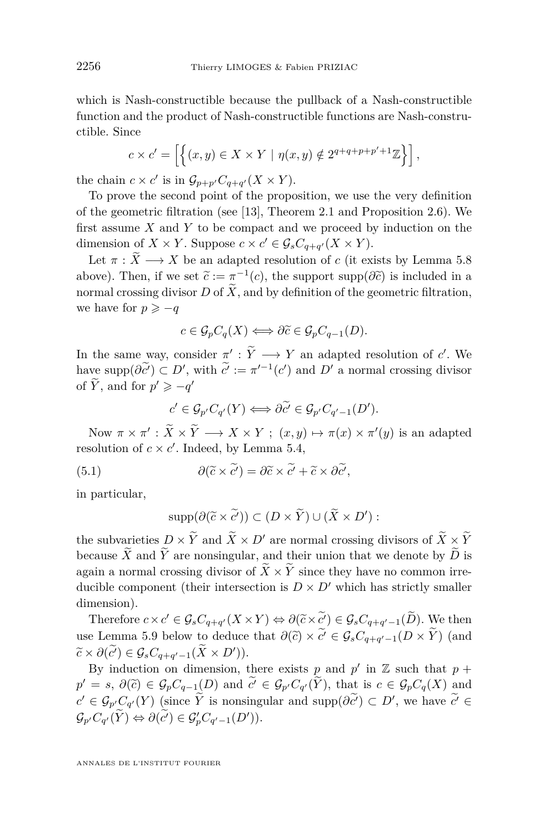which is Nash-constructible because the pullback of a Nash-constructible function and the product of Nash-constructible functions are Nash-constructible. Since

$$
c \times c' = \left[ \left\{ (x, y) \in X \times Y \mid \eta(x, y) \notin 2^{q+q+p+p'+1} \mathbb{Z} \right\} \right],
$$

the chain  $c \times c'$  is in  $\mathcal{G}_{p+p'}C_{q+q'}(X \times Y)$ .

To prove the second point of the proposition, we use the very definition of the geometric filtration (see [\[13\]](#page-37-0), Theorem 2.1 and Proposition 2.6). We first assume *X* and *Y* to be compact and we proceed by induction on the dimension of  $X \times Y$ . Suppose  $c \times c' \in \mathcal{G}_s C_{q+q'}(X \times Y)$ .

Let  $\pi : \tilde{X} \longrightarrow X$  be an adapted resolution of *c* (it exists by Lemma [5.8](#page-21-0)) above). Then, if we set  $\tilde{c} := \pi^{-1}(c)$ , the support supp $(\partial \tilde{c})$  is included in a<br>normal grassing divisor  $D$  of  $\tilde{X}$  and by definition of the geometric filtration normal crossing divisor *D* of  $\widetilde{X}$ , and by definition of the geometric filtration, we have for  $p \geq -q$ 

$$
c \in \mathcal{G}_p C_q(X) \Longleftrightarrow \partial \widetilde{c} \in \mathcal{G}_p C_{q-1}(D).
$$

In the same way, consider  $\pi': \tilde{Y} \longrightarrow Y$  an adapted resolution of *c'*. We have  $\text{supp}(\partial \tilde{c}^{\prime}) \subset D^{\prime}$ , with  $\tilde{c}^{\prime} := \pi^{\prime -1}(c^{\prime})$  and  $D^{\prime}$  a normal crossing divisor of  $\widetilde{Y}$ , and for  $p' \geq -q'$ 

$$
c' \in \mathcal{G}_{p'}C_{q'}(Y) \Longleftrightarrow \partial \widetilde{c'} \in \mathcal{G}_{p'}C_{q'-1}(D').
$$

Now  $\pi \times \pi' : \tilde{X} \times \tilde{Y} \longrightarrow X \times Y; (x, y) \mapsto \pi(x) \times \pi'(y)$  is an adapted resolution of  $c \times c'$ . Indeed, by Lemma [5.4,](#page-19-0)

(5.1) 
$$
\partial(\widetilde{c}\times\widetilde{c'})=\partial\widetilde{c}\times\widetilde{c'}+\widetilde{c}\times\partial\widetilde{c'},
$$

in particular,

$$
\mathrm{supp}(\partial(\widetilde{c}\times\widetilde{c'}))\subset (D\times\widetilde{Y})\cup(\widetilde{X}\times D'):
$$

the subvarieties  $D \times Y$  and  $\overline{X} \times D'$  are normal crossing divisors of  $\overline{X} \times \overline{Y}$ because  $\widetilde{X}$  and  $\widetilde{Y}$  are nonsingular, and their union that we denote by  $\widetilde{D}$  is again a normal crossing divisor of  $\tilde{X} \times \tilde{Y}$  since they have no common irreducible component (their intersection is  $D \times D'$  which has strictly smaller dimension).

Therefore  $c \times c' \in \mathcal{G}_s C_{q+q'}(X \times Y) \Leftrightarrow \partial(\widetilde{c} \times \widetilde{c'}) \in \mathcal{G}_s C_{q+q'-1}(\widetilde{D})$ . We then use Lemma [5.9](#page-23-0) below to deduce that  $\partial(\tilde{c}) \times c' \in \mathcal{G}_s C_{q+q'-1}(D \times Y)$  (and  $\tilde{c} \in \partial(\tilde{C}) \times \partial(\tilde{C}) \times \partial(\tilde{C})$  $\widetilde{c} \times \partial(\widetilde{c}') \in \mathcal{G}_s C_{q+q'-1}(\widetilde{X} \times D')).$ <br>Prinduction on dimension to

By induction on dimension, there exists p and  $p'$  in  $\mathbb Z$  such that  $p +$  $p' = s$ ,  $\partial(\tilde{c}) \in \mathcal{G}_p C_{q-1}(D)$  and  $\tilde{c'} \in \mathcal{G}_{p'} C_{q'}(\tilde{Y})$ , that is  $c \in \mathcal{G}_p C_q(X)$  and  $c' \in \mathcal{G}_{p'}C_{q'}(Y)$  (since  $\widetilde{Y}$  is nonsingular and supp $(\partial c') \subset D'$ , we have  $c' \in$  $\mathcal{G}_{p'}C_{q'}(\widetilde{Y}) \Leftrightarrow \partial(\widetilde{c'}) \in \mathcal{G}'_pC_{q'-1}(D')).$ 

<span id="page-22-0"></span>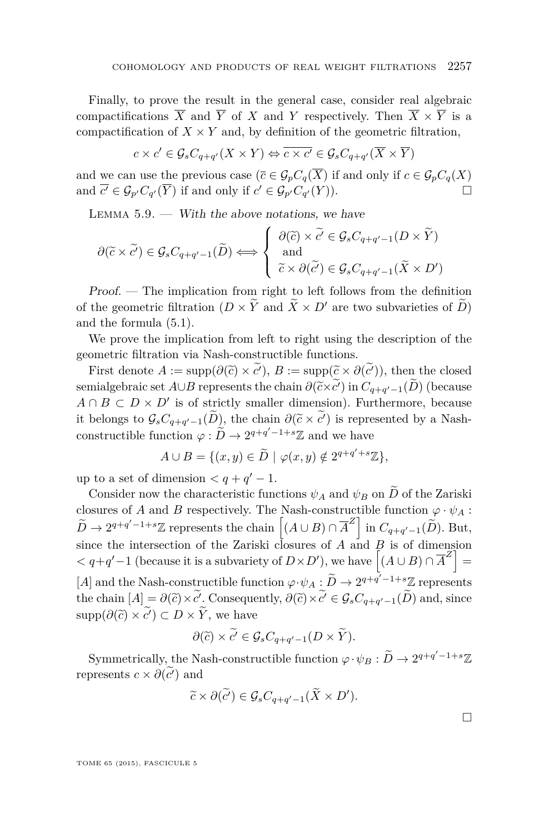<span id="page-23-0"></span>Finally, to prove the result in the general case, consider real algebraic compactifications  $\overline{X}$  and  $\overline{Y}$  of *X* and *Y* respectively. Then  $\overline{X} \times \overline{Y}$  is a compactification of  $X \times Y$  and, by definition of the geometric filtration,

$$
c \times c' \in \mathcal{G}_s C_{q+q'}(X \times Y) \Leftrightarrow \overline{c \times c'} \in \mathcal{G}_s C_{q+q'}(\overline{X} \times \overline{Y})
$$

and we can use the previous case  $(\bar{c} \in \mathcal{G}_p C_q(\bar{X})$  if and only if  $c \in \mathcal{G}_p C_q(X)$ and  $\overline{c'} \in \mathcal{G}_{p'}C_{q'}(\overline{Y})$  if and only if  $c' \in \mathcal{G}_{p'}C_{q'}(Y)$ .

LEMMA  $5.9.$  — With the above notations, we have

$$
\partial(\widetilde{c} \times \widetilde{c}') \in \mathcal{G}_s C_{q+q'-1}(\widetilde{D}) \Longleftrightarrow \begin{cases} \partial(\widetilde{c}) \times \widetilde{c}' \in \mathcal{G}_s C_{q+q'-1}(D \times \widetilde{Y}) \\ \text{and} \\ \widetilde{c} \times \partial(\widetilde{c}') \in \mathcal{G}_s C_{q+q'-1}(\widetilde{X} \times D') \end{cases}
$$

Proof. — The implication from right to left follows from the definition of the geometric filtration  $(D \times \tilde{Y}$  and  $\tilde{X} \times D'$  are two subvarieties of  $\tilde{D}$ ) and the formula [\(5.1\)](#page-22-0).

We prove the implication from left to right using the description of the geometric filtration via Nash-constructible functions.

First denote  $A := \text{supp}(\partial(\widetilde{c}) \times \widetilde{c}')$ ,  $B := \text{supp}(\widetilde{c} \times \partial(\widetilde{c}'))$ , then the closed semialgebraic set *A*∪*B* represents the chain  $\partial(\tilde{c} \times c')$  in  $C_{q+q'-1}(D)$  (because  $A \cap B \subseteq D \times D'$  is of strictly emaller dimension). Eurthormore, because  $A \cap B \subset D \times D'$  is of strictly smaller dimension). Furthermore, because it belongs to  $\mathcal{G}_s C_{q+q'-1}(D)$ , the chain  $\partial(\tilde{c} \times c')$  is represented by a Nash-<br>constructible function  $\partial_{\tilde{c}} \tilde{D} + 2q + q' - 1 + s\mathbb{Z}$  and we have constructible function  $\varphi : \widetilde{D} \to 2^{q+q'-1+s}\mathbb{Z}$  and we have

$$
A \cup B = \{ (x, y) \in \widetilde{D} \mid \varphi(x, y) \notin 2^{q+q'+s}\mathbb{Z} \},
$$

up to a set of dimension  $\langle q + q' - 1 \rangle$ .

Consider now the characteristic functions  $\psi_A$  and  $\psi_B$  on  $\widetilde{D}$  of the Zariski closures of *A* and *B* respectively. The Nash-constructible function  $\varphi \cdot \psi_A$ :  $\widetilde{D} \to 2^{q+q'-1+s}\mathbb{Z}$  represents the chain  $\left[ (A \cup B) \cap \overline{A}^Z \right]$  in  $C_{q+q'-1}(\widetilde{D})$ . But, since the intersection of the Zariski closures of *A* and  $\overrightarrow{B}$  is of dimension  $\langle q+q'-1 \rangle$  (because it is a subvariety of  $D \times D'$ ), we have  $\left[ (A \cup B) \cap \overline{A}^Z \right] =$ [*A*] and the Nash-constructible function  $\varphi \cdot \psi_A : \widetilde{D} \to 2^{q+q'-1+s}\mathbb{Z}$  represents the chain  $[A] = \partial(\tilde{c}) \times c'$ . Consequently,  $\partial(\tilde{c}) \times c' \in \mathcal{G}_s C_{q+q'-1}(D)$  and, since  $\text{supp}(\partial(\tilde{c}) \times \tilde{c}') \subset D \times \tilde{Y}$ , we have

$$
\partial(\widetilde{c}) \times \widetilde{c'} \in \mathcal{G}_s C_{q+q'-1}(D \times \widetilde{Y}).
$$

Symmetrically, the Nash-constructible function  $\varphi \cdot \psi_B : \widetilde{D} \to 2^{q+q'-1+s}\mathbb{Z}$ represents  $c \times \partial(\tilde{c}')$  and

$$
\widetilde{c} \times \partial(\widetilde{c}') \in \mathcal{G}_s C_{q+q'-1}(\widetilde{X} \times D').
$$

 $\Box$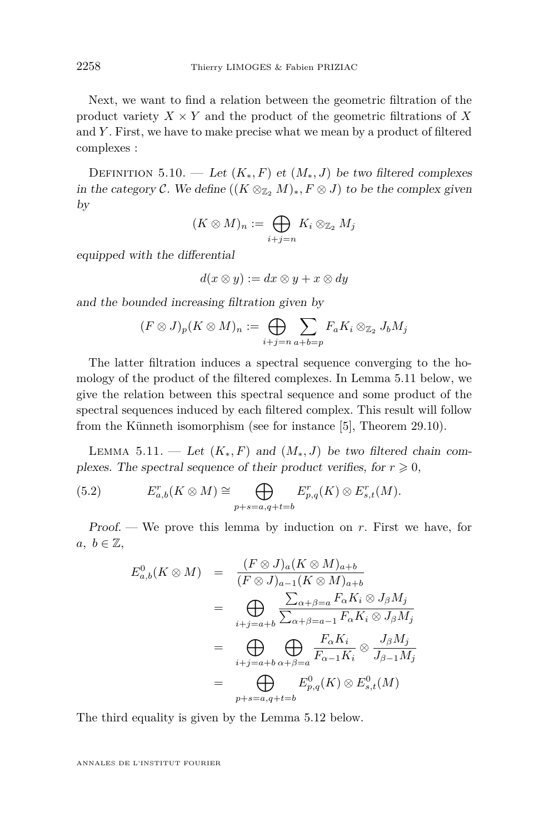Next, we want to find a relation between the geometric filtration of the product variety  $X \times Y$  and the product of the geometric filtrations of X and *Y* . First, we have to make precise what we mean by a product of filtered complexes :

DEFINITION 5.10. — Let  $(K_*, F)$  et  $(M_*, J)$  be two filtered complexes in the category C. We define  $((K \otimes_{\mathbb{Z}_2} M)_*, F \otimes J)$  to be the complex given by

$$
(K\otimes M)_n := \bigoplus_{i+j=n} K_i \otimes_{\mathbb{Z}_2} M_j
$$

equipped with the differential

$$
d(x \otimes y) := dx \otimes y + x \otimes dy
$$

and the bounded increasing filtration given by

$$
(F \otimes J)_p(K \otimes M)_n := \bigoplus_{i+j=n} \sum_{a+b=p} F_a K_i \otimes_{\mathbb{Z}_2} J_b M_j
$$

The latter filtration induces a spectral sequence converging to the homology of the product of the filtered complexes. In Lemma 5.11 below, we give the relation between this spectral sequence and some product of the spectral sequences induced by each filtered complex. This result will follow from the Künneth isomorphism (see for instance [\[5\]](#page-36-0), Theorem 29.10).

LEMMA 5.11. — Let  $(K_*, F)$  and  $(M_*, J)$  be two filtered chain complexes. The spectral sequence of their product verifies, for  $r \geq 0$ ,

(5.2) 
$$
E_{a,b}^r(K \otimes M) \cong \bigoplus_{p+s=a,q+t=b} E_{p,q}^r(K) \otimes E_{s,t}^r(M).
$$

Proof. — We prove this lemma by induction on *r*. First we have, for  $a, b \in \mathbb{Z}$ ,

$$
E_{a,b}^{0}(K \otimes M) = \frac{(F \otimes J)_{a}(K \otimes M)_{a+b}}{(F \otimes J)_{a-1}(K \otimes M)_{a+b}}
$$
  
\n
$$
= \bigoplus_{i+j=a+b} \frac{\sum_{\alpha+\beta=a} F_{\alpha} K_{i} \otimes J_{\beta} M_{j}}{\sum_{\alpha+\beta=a-1} F_{\alpha} K_{i} \otimes J_{\beta} M_{j}}
$$
  
\n
$$
= \bigoplus_{i+j=a+b} \bigoplus_{\alpha+\beta=a} \frac{F_{\alpha} K_{i}}{F_{\alpha-1} K_{i}} \otimes \frac{J_{\beta} M_{j}}{J_{\beta-1} M_{j}}
$$
  
\n
$$
= \bigoplus_{p+s=a,q+t=b} E_{p,q}^{0}(K) \otimes E_{s,t}^{0}(M)
$$

The third equality is given by the Lemma [5.12](#page-25-0) below.

ANNALES DE L'INSTITUT FOURIER

<span id="page-24-0"></span>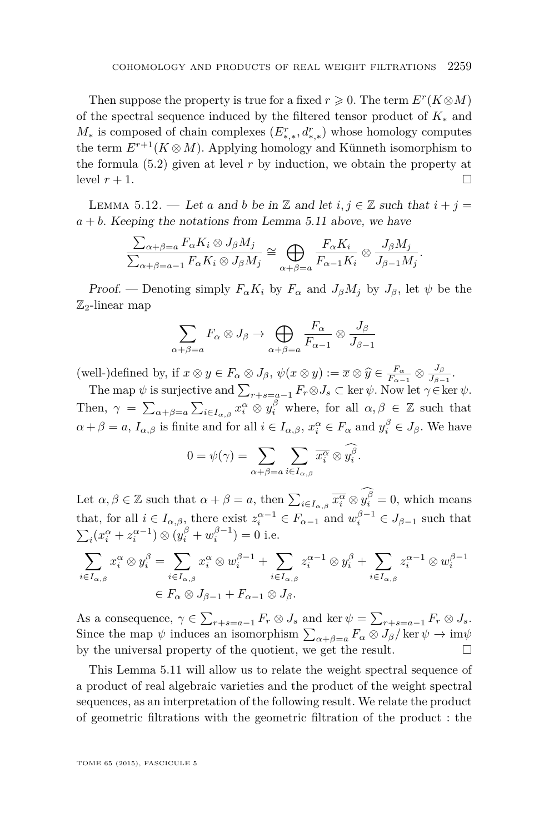<span id="page-25-0"></span>Then suppose the property is true for a fixed  $r \geqslant 0$ . The term  $E^r(K \otimes M)$ of the spectral sequence induced by the filtered tensor product of *K*<sup>∗</sup> and *M*<sup>∗</sup> is composed of chain complexes  $(E_{*,*}^r, d_{*,*}^r)$  whose homology computes the term  $E^{r+1}(K \otimes M)$ . Applying homology and Künneth isomorphism to the formula [\(5.2\)](#page-24-0) given at level *r* by induction, we obtain the property at level  $r + 1$ .

LEMMA 5.12. — Let *a* and *b* be in  $\mathbb Z$  and let  $i, j \in \mathbb Z$  such that  $i + j =$  $a + b$ . Keeping the notations from Lemma [5.11](#page-24-0) above, we have

$$
\frac{\sum_{\alpha+\beta=a} F_{\alpha} K_i \otimes J_{\beta} M_j}{\sum_{\alpha+\beta=a-1} F_{\alpha} K_i \otimes J_{\beta} M_j} \cong \bigoplus_{\alpha+\beta=a} \frac{F_{\alpha} K_i}{F_{\alpha-1} K_i} \otimes \frac{J_{\beta} M_j}{J_{\beta-1} M_j}
$$

*.*

Proof. — Denoting simply  $F_{\alpha}K_i$  by  $F_{\alpha}$  and  $J_{\beta}M_i$  by  $J_{\beta}$ , let  $\psi$  be the  $\mathbb{Z}_2$ -linear map

$$
\sum_{\alpha+\beta=a} F_{\alpha} \otimes J_{\beta} \to \bigoplus_{\alpha+\beta=a} \frac{F_{\alpha}}{F_{\alpha-1}} \otimes \frac{J_{\beta}}{J_{\beta-1}}
$$

(well-)defined by, if  $x \otimes y \in F_\alpha \otimes J_\beta$ ,  $\psi(x \otimes y) := \overline{x} \otimes \widehat{y} \in \frac{F_\alpha}{F_{\alpha-1}} \otimes \frac{J_\beta}{J_\beta}$ <br>The span *y* is quasistive and  $\Sigma$  $\frac{J\beta}{J_{\beta-1}}$ .

The map  $\psi$  is surjective and  $\sum_{r+s=a-1} F_r \otimes J_s \subset \ker \psi$ . Now let  $\gamma \in \ker \psi$ . Then,  $\gamma = \sum_{\alpha+\beta=a} \sum_{i\in I_{\alpha,\beta}} x_i^{\alpha} \otimes y_i^{\beta}$  where, for all  $\alpha, \beta \in \mathbb{Z}$  such that  $\alpha + \beta = a$ ,  $I_{\alpha,\beta}$  is finite and for all  $i \in I_{\alpha,\beta}$ ,  $x_i^{\alpha} \in F_{\alpha}$  and  $y_i^{\beta} \in J_{\beta}$ . We have

$$
0 = \psi(\gamma) = \sum_{\alpha + \beta = a} \sum_{i \in I_{\alpha,\beta}} \overline{x_i^{\alpha}} \otimes y_i^{\beta}.
$$

Let  $\alpha, \beta \in \mathbb{Z}$  such that  $\alpha + \beta = a$ , then  $\sum_{i \in I_{\alpha,\beta}} \overline{x_i^{\alpha}} \otimes y_i^{\beta} = 0$ , which means that, for all  $i \in I_{\alpha,\beta}$ , there exist  $z_i^{\alpha-1} \in F_{\alpha-1}$  and  $w_i^{\beta-1} \in J_{\beta-1}$  such that  $\sum_{i} (x_i^{\alpha} + z_i^{\alpha-1}) \otimes (y_i^{\beta} + w_i^{\beta-1}) = 0$  i.e.

$$
\sum_{i \in I_{\alpha,\beta}} x_i^{\alpha} \otimes y_i^{\beta} = \sum_{i \in I_{\alpha,\beta}} x_i^{\alpha} \otimes w_i^{\beta - 1} + \sum_{i \in I_{\alpha,\beta}} z_i^{\alpha - 1} \otimes y_i^{\beta} + \sum_{i \in I_{\alpha,\beta}} z_i^{\alpha - 1} \otimes w_i^{\beta - 1}
$$
  

$$
\in F_{\alpha} \otimes J_{\beta - 1} + F_{\alpha - 1} \otimes J_{\beta}.
$$

As a consequence,  $\gamma \in \sum_{r+s=a-1} F_r \otimes J_s$  and ker  $\psi = \sum_{r+s=a-1} F_r \otimes J_s$ . Since the map  $\psi$  induces an isomorphism  $\sum_{\alpha+\beta=a} F_{\alpha} \otimes J_{\beta} / \ker \psi \to \text{im}\psi$ by the universal property of the quotient, we get the result.  $\Box$ 

This Lemma [5.11](#page-24-0) will allow us to relate the weight spectral sequence of a product of real algebraic varieties and the product of the weight spectral sequences, as an interpretation of the following result. We relate the product of geometric filtrations with the geometric filtration of the product : the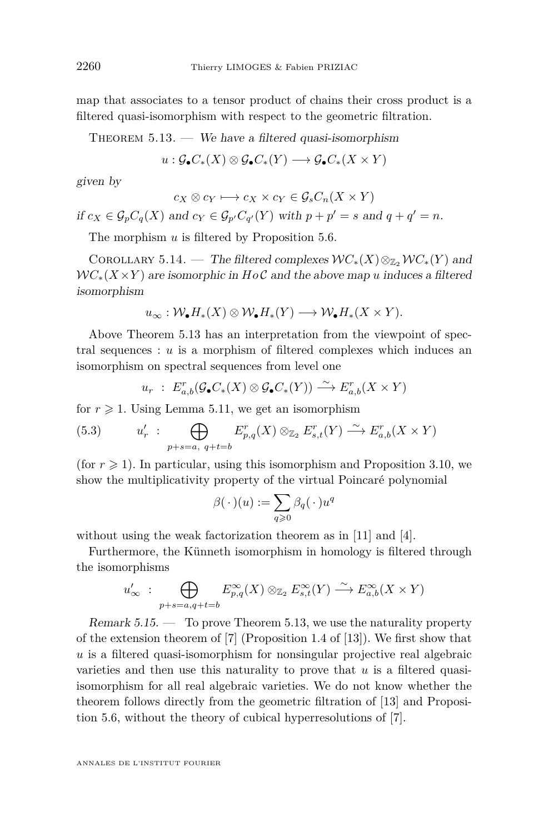<span id="page-26-0"></span>map that associates to a tensor product of chains their cross product is a filtered quasi-isomorphism with respect to the geometric filtration.

THEOREM  $5.13.$  — We have a filtered quasi-isomorphism

$$
u: \mathcal{G}_\bullet C_*(X) \otimes \mathcal{G}_\bullet C_*(Y) \longrightarrow \mathcal{G}_\bullet C_*(X \times Y)
$$

given by

$$
c_X \otimes c_Y \longmapsto c_X \times c_Y \in \mathcal{G}_s C_n(X \times Y)
$$

if  $c_X \in \mathcal{G}_p C_q(X)$  and  $c_Y \in \mathcal{G}_{p'} C_{q'}(Y)$  with  $p + p' = s$  and  $q + q' = n$ .

The morphism *u* is filtered by Proposition [5.6.](#page-20-0)

COROLLARY 5.14. — The filtered complexes  $WC_*(X) \otimes_{\mathbb{Z}_2} \mathcal{W}C_*(Y)$  and  $WC_*(X \times Y)$  are isomorphic in  $HoC$  and the above map *u* induces a filtered isomorphism

$$
u_{\infty}: \mathcal{W}_{\bullet}H_{*}(X) \otimes \mathcal{W}_{\bullet}H_{*}(Y) \longrightarrow \mathcal{W}_{\bullet}H_{*}(X \times Y).
$$

Above Theorem 5.13 has an interpretation from the viewpoint of spectral sequences :  $u$  is a morphism of filtered complexes which induces an isomorphism on spectral sequences from level one

$$
u_r \; : \; E_{a,b}^r(\mathcal{G}_\bullet C_*(X) \otimes \mathcal{G}_\bullet C_*(Y)) \xrightarrow{\sim} E_{a,b}^r(X \times Y)
$$

for  $r \geq 1$ . Using Lemma [5.11,](#page-24-0) we get an isomorphism

(5.3) 
$$
u'_r : \bigoplus_{p+s=a, q+t=b} E_{p,q}^r(X) \otimes_{\mathbb{Z}_2} E_{s,t}^r(Y) \xrightarrow{\sim} E_{a,b}^r(X \times Y)
$$

(for  $r \geq 1$ ). In particular, using this isomorphism and Proposition [3.10,](#page-11-0) we show the multiplicativity property of the virtual Poincaré polynomial

$$
\beta(\,\cdot\,)(u):=\sum_{q\geqslant 0}\beta_q(\,\cdot\,)u^q
$$

without using the weak factorization theorem as in [\[11\]](#page-37-0) and [\[4\]](#page-36-0).

Furthermore, the Künneth isomorphism in homology is filtered through the isomorphisms

$$
u'_\infty \; : \; \bigoplus_{p+s=a,q+t=b} E_{p,q}^\infty(X) \otimes_{\mathbb{Z}_2} E_{s,t}^\infty(Y) \xrightarrow{\sim} E_{a,b}^\infty(X \times Y)
$$

Remark  $5.15.$  — To prove Theorem 5.13, we use the naturality property of the extension theorem of [\[7\]](#page-37-0) (Proposition 1.4 of [\[13\]](#page-37-0)). We first show that *u* is a filtered quasi-isomorphism for nonsingular projective real algebraic varieties and then use this naturality to prove that *u* is a filtered quasiisomorphism for all real algebraic varieties. We do not know whether the theorem follows directly from the geometric filtration of [\[13\]](#page-37-0) and Proposition [5.6,](#page-20-0) without the theory of cubical hyperresolutions of [\[7\]](#page-37-0).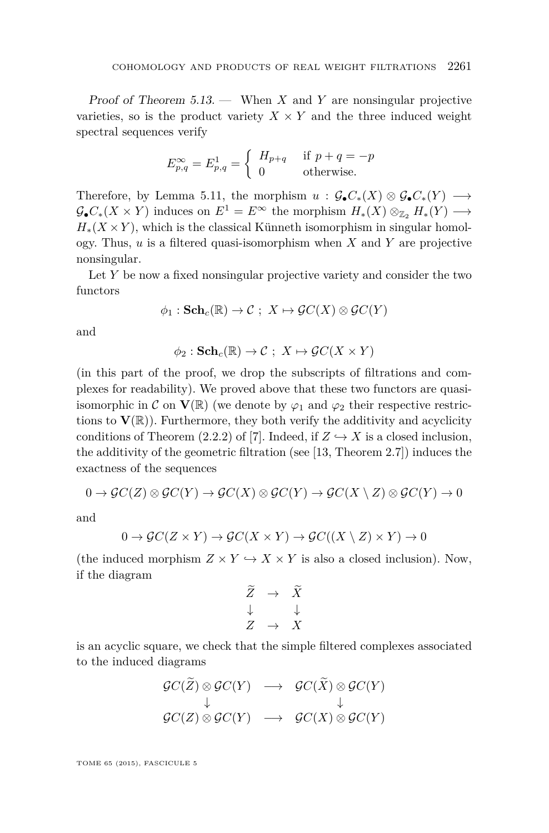Proof of Theorem [5.13.](#page-26-0) — When *X* and *Y* are nonsingular projective varieties, so is the product variety  $X \times Y$  and the three induced weight spectral sequences verify

$$
E_{p,q}^{\infty} = E_{p,q}^1 = \begin{cases} H_{p+q} & \text{if } p+q = -p \\ 0 & \text{otherwise.} \end{cases}
$$

Therefore, by Lemma [5.11,](#page-24-0) the morphism  $u : \mathcal{G}_{\bullet} C_*(X) \otimes \mathcal{G}_{\bullet} C_*(Y) \longrightarrow$  $\mathcal{G}_{\bullet}C_{*}(X \times Y)$  induces on  $E^{1} = E^{\infty}$  the morphism  $H_{*}(X) \otimes_{\mathbb{Z}_{2}} H_{*}(Y) \longrightarrow$  $H_*(X \times Y)$ , which is the classical Künneth isomorphism in singular homology. Thus, *u* is a filtered quasi-isomorphism when *X* and *Y* are projective nonsingular.

Let *Y* be now a fixed nonsingular projective variety and consider the two functors

$$
\phi_1: \mathbf{Sch}_c(\mathbb{R}) \to \mathcal{C} \; ; \; X \mapsto \mathcal{G}C(X) \otimes \mathcal{G}C(Y)
$$

and

$$
\phi_2 : \mathbf{Sch}_c(\mathbb{R}) \to \mathcal{C} \; ; \; X \mapsto \mathcal{G}C(X \times Y)
$$

(in this part of the proof, we drop the subscripts of filtrations and complexes for readability). We proved above that these two functors are quasiisomorphic in C on  $\mathbf{V}(\mathbb{R})$  (we denote by  $\varphi_1$  and  $\varphi_2$  their respective restrictions to  $\mathbf{V}(\mathbb{R})$ ). Furthermore, they both verify the additivity and acyclicity conditions of Theorem (2.2.2) of [\[7\]](#page-37-0). Indeed, if  $Z \hookrightarrow X$  is a closed inclusion, the additivity of the geometric filtration (see [\[13,](#page-37-0) Theorem 2.7]) induces the exactness of the sequences

$$
0 \to \mathcal{G}C(Z) \otimes \mathcal{G}C(Y) \to \mathcal{G}C(X) \otimes \mathcal{G}C(Y) \to \mathcal{G}C(X \setminus Z) \otimes \mathcal{G}C(Y) \to 0
$$

and

$$
0 \to \mathcal{G}C(Z \times Y) \to \mathcal{G}C(X \times Y) \to \mathcal{G}C((X \setminus Z) \times Y) \to 0
$$

(the induced morphism  $Z \times Y \hookrightarrow X \times Y$  is also a closed inclusion). Now, if the diagram

$$
\begin{array}{ccc}\n\widetilde{Z} & \to & \widetilde{X} \\
\downarrow & & \downarrow \\
Z & \to & X\n\end{array}
$$

is an acyclic square, we check that the simple filtered complexes associated to the induced diagrams

$$
\begin{array}{ccc}\n\mathcal{G}C(\widetilde{Z}) \otimes \mathcal{G}C(Y) & \longrightarrow & \mathcal{G}C(\widetilde{X}) \otimes \mathcal{G}C(Y) \\
\downarrow & & \downarrow \\
\mathcal{G}C(Z) \otimes \mathcal{G}C(Y) & \longrightarrow & \mathcal{G}C(X) \otimes \mathcal{G}C(Y)\n\end{array}
$$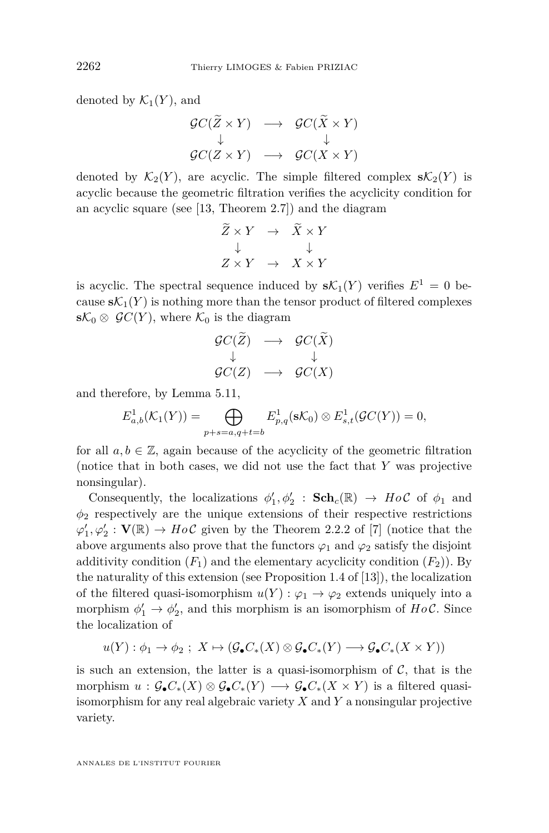denoted by  $\mathcal{K}_1(Y)$ , and

$$
\begin{array}{ccc}\n\mathcal{G}C(\widetilde{Z}\times Y) & \longrightarrow & \mathcal{G}C(\widetilde{X}\times Y) \\
\downarrow & & \downarrow \\
\mathcal{G}C(Z\times Y) & \longrightarrow & \mathcal{G}C(X\times Y)\n\end{array}
$$

denoted by  $\mathcal{K}_2(Y)$ , are acyclic. The simple filtered complex  $s\mathcal{K}_2(Y)$  is acyclic because the geometric filtration verifies the acyclicity condition for an acyclic square (see [\[13,](#page-37-0) Theorem 2.7]) and the diagram

$$
\begin{array}{rcl}\n\widetilde{Z} \times Y & \to & \widetilde{X} \times Y \\
\downarrow & & \downarrow \\
Z \times Y & \to & X \times Y\n\end{array}
$$

is acyclic. The spectral sequence induced by  $s\mathcal{K}_1(Y)$  verifies  $E^1 = 0$  because  $s\mathcal{K}_1(Y)$  is nothing more than the tensor product of filtered complexes **s** $K_0$  ⊗  $\mathcal{G}C(Y)$ , where  $K_0$  is the diagram

$$
\begin{array}{ccc} \mathcal{G}C(\widetilde{Z}) & \longrightarrow & \mathcal{G}C(\widetilde{X}) \\ \downarrow & & \downarrow \\ \mathcal{G}C(Z) & \longrightarrow & \mathcal{G}C(X) \end{array}
$$

and therefore, by Lemma [5.11,](#page-24-0)

$$
E_{a,b}^1(\mathcal{K}_1(Y)) = \bigoplus_{p+s=a,q+t=b} E_{p,q}^1(\mathbf{s}\mathcal{K}_0) \otimes E_{s,t}^1(\mathcal{G}C(Y)) = 0,
$$

for all  $a, b \in \mathbb{Z}$ , again because of the acyclicity of the geometric filtration (notice that in both cases, we did not use the fact that *Y* was projective nonsingular).

Consequently, the localizations  $\phi'_1, \phi'_2$  :  $\mathbf{Sch}_c(\mathbb{R}) \to Ho\mathcal{C}$  of  $\phi_1$  and  $\phi_2$  respectively are the unique extensions of their respective restrictions  $\varphi'_1, \varphi'_2 : \mathbf{V}(\mathbb{R}) \to Ho\mathcal{C}$  given by the Theorem 2.2.2 of [\[7\]](#page-37-0) (notice that the above arguments also prove that the functors  $\varphi_1$  and  $\varphi_2$  satisfy the disjoint additivity condition  $(F_1)$  and the elementary acyclicity condition  $(F_2)$ ). By the naturality of this extension (see Proposition 1.4 of [\[13\]](#page-37-0)), the localization of the filtered quasi-isomorphism  $u(Y) : \varphi_1 \to \varphi_2$  extends uniquely into a morphism  $\phi'_1 \to \phi'_2$ , and this morphism is an isomorphism of *Ho* C. Since the localization of

$$
u(Y): \phi_1 \to \phi_2 ;\ X \mapsto (\mathcal{G}_{\bullet}C_*(X) \otimes \mathcal{G}_{\bullet}C_*(Y) \longrightarrow \mathcal{G}_{\bullet}C_*(X \times Y))
$$

is such an extension, the latter is a quasi-isomorphism of  $C$ , that is the morphism  $u : \mathcal{G}_{\bullet}C_{*}(X) \otimes \mathcal{G}_{\bullet}C_{*}(Y) \longrightarrow \mathcal{G}_{\bullet}C_{*}(X \times Y)$  is a filtered quasiisomorphism for any real algebraic variety *X* and *Y* a nonsingular projective variety.

ANNALES DE L'INSTITUT FOURIER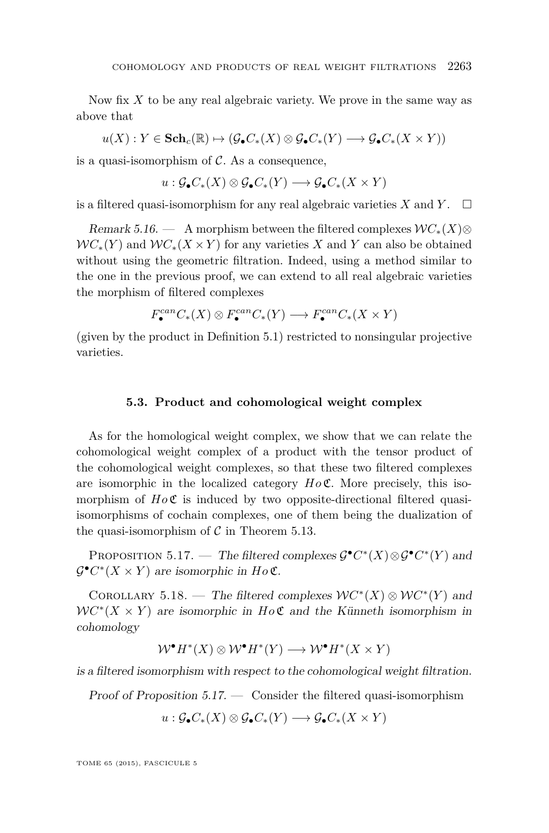<span id="page-29-0"></span>Now fix *X* to be any real algebraic variety. We prove in the same way as above that

$$
u(X):Y\in \mathbf{Sch}_c(\mathbb{R})\mapsto (\mathcal{G}_\bullet C_*(X)\otimes\mathcal{G}_\bullet C_*(Y)\longrightarrow \mathcal{G}_\bullet C_*(X\times Y))
$$

is a quasi-isomorphism of  $\mathcal{C}$ . As a consequence,

$$
u: \mathcal{G}_{\bullet}C_{*}(X) \otimes \mathcal{G}_{\bullet}C_{*}(Y) \longrightarrow \mathcal{G}_{\bullet}C_{*}(X \times Y)
$$

is a filtered quasi-isomorphism for any real algebraic varieties  $X$  and  $Y$ .  $\Box$ 

Remark 5.16. — A morphism between the filtered complexes  $\mathcal{W}C_*(X) \otimes$  $WC_*(Y)$  and  $WC_*(X \times Y)$  for any varieties X and Y can also be obtained without using the geometric filtration. Indeed, using a method similar to the one in the previous proof, we can extend to all real algebraic varieties the morphism of filtered complexes

$$
F^{can}_{\bullet}C_*(X)\otimes F^{can}_{\bullet}C_*(Y)\longrightarrow F^{can}_{\bullet}C_*(X\times Y)
$$

(given by the product in Definition [5.1\)](#page-19-0) restricted to nonsingular projective varieties.

# **5.3. Product and cohomological weight complex**

As for the homological weight complex, we show that we can relate the cohomological weight complex of a product with the tensor product of the cohomological weight complexes, so that these two filtered complexes are isomorphic in the localized category *Ho* C. More precisely, this isomorphism of  $H_0 \mathfrak{C}$  is induced by two opposite-directional filtered quasiisomorphisms of cochain complexes, one of them being the dualization of the quasi-isomorphism of  $C$  in Theorem [5.13.](#page-26-0)

PROPOSITION 5.17. — The filtered complexes  $\mathcal{G}^{\bullet} C^{*}(X) \otimes \mathcal{G}^{\bullet} C^{*}(Y)$  and  $\mathcal{G}^{\bullet} C^{*}(X \times Y)$  are isomorphic in  $H \circ \mathfrak{C}$ .

COROLLARY 5.18. — The filtered complexes  $WC^*(X) \otimes WC^*(Y)$  and  $WC^*(X \times Y)$  are isomorphic in  $Ho\mathfrak{C}$  and the Künneth isomorphism in cohomology

$$
W^{\bullet}H^*(X) \otimes W^{\bullet}H^*(Y) \longrightarrow W^{\bullet}H^*(X \times Y)
$$

is a filtered isomorphism with respect to the cohomological weight filtration.

Proof of Proposition  $5.17.$  — Consider the filtered quasi-isomorphism

$$
u: \mathcal{G}_{\bullet}C_{*}(X) \otimes \mathcal{G}_{\bullet}C_{*}(Y) \longrightarrow \mathcal{G}_{\bullet}C_{*}(X \times Y)
$$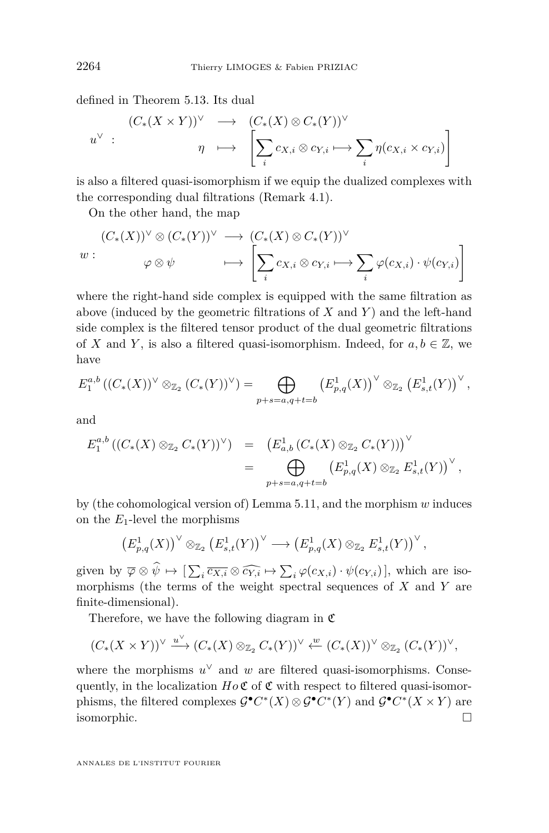defined in Theorem [5.13.](#page-26-0) Its dual

$$
u^{\vee} : \qquad \begin{array}{ccc} (C_*(X \times Y))^{\vee} & \longrightarrow & (C_*(X) \otimes C_*(Y))^{\vee} \\ \eta & \longmapsto & \left[ \sum_i c_{X,i} \otimes c_{Y,i} \longmapsto \sum_i \eta(c_{X,i} \times c_{Y,i}) \right] \end{array}
$$

is also a filtered quasi-isomorphism if we equip the dualized complexes with the corresponding dual filtrations (Remark [4.1\)](#page-15-0).

On the other hand, the map

$$
(C_*(X))^{\vee} \otimes (C_*(Y))^{\vee} \longrightarrow (C_*(X) \otimes C_*(Y))^{\vee}
$$
  

$$
w: \qquad \varphi \otimes \psi \qquad \longmapsto \left[ \sum_i c_{X,i} \otimes c_{Y,i} \longmapsto \sum_i \varphi(c_{X,i}) \cdot \psi(c_{Y,i}) \right]
$$

where the right-hand side complex is equipped with the same filtration as above (induced by the geometric filtrations of *X* and *Y* ) and the left-hand side complex is the filtered tensor product of the dual geometric filtrations of *X* and *Y*, is also a filtered quasi-isomorphism. Indeed, for  $a, b \in \mathbb{Z}$ , we have

$$
E_1^{a,b}((C_*(X))^{\vee} \otimes_{\mathbb{Z}_2} (C_*(Y))^{\vee}) = \bigoplus_{p+s=a,q+t=b} (E_{p,q}^1(X))^{\vee} \otimes_{\mathbb{Z}_2} (E_{s,t}^1(Y))^{\vee},
$$

and

$$
E_1^{a,b}((C_*(X) \otimes_{\mathbb{Z}_2} C_*(Y))^{\vee}) = (E_{a,b}^1(C_*(X) \otimes_{\mathbb{Z}_2} C_*(Y)))^{\vee}
$$
  
= 
$$
\bigoplus_{p+s=a,q+t=b} (E_{p,q}^1(X) \otimes_{\mathbb{Z}_2} E_{s,t}^1(Y))^{\vee},
$$

by (the cohomological version of) Lemma [5.11,](#page-24-0) and the morphism *w* induces on the  $E_1$ -level the morphisms

$$
\left(E_{p,q}^1(X)\right)^{\vee}\otimes_{\mathbb{Z}_2}\left(E_{s,t}^1(Y)\right)^{\vee}\longrightarrow\left(E_{p,q}^1(X)\otimes_{\mathbb{Z}_2}E_{s,t}^1(Y)\right)^{\vee},
$$

given by  $\overline{\varphi} \otimes \psi \mapsto [\sum_i \overline{c_{X,i}} \otimes \widehat{c_{Y,i}} \mapsto \sum_i \varphi(c_{X,i}) \cdot \psi(c_{Y,i})]$ , which are iso-<br>morphisms (the terms of the weight spectral sequences of Y and Y are morphisms (the terms of the weight spectral sequences of *X* and *Y* are finite-dimensional).

Therefore, we have the following diagram in  $\mathfrak C$ 

$$
(C_*(X \times Y))^\vee \xrightarrow{u^\vee} (C_*(X) \otimes_{\mathbb{Z}_2} C_*(Y))^\vee \xleftarrow{w} (C_*(X))^\vee \otimes_{\mathbb{Z}_2} (C_*(Y))^\vee,
$$

where the morphisms  $u^{\vee}$  and  $w$  are filtered quasi-isomorphisms. Consequently, in the localization  $Ho\mathfrak{C}$  of  $\mathfrak{C}$  with respect to filtered quasi-isomorphisms, the filtered complexes  $\mathcal{G}^{\bullet} C^*(X) \otimes \mathcal{G}^{\bullet} C^*(Y)$  and  $\mathcal{G}^{\bullet} C^*(X \times Y)$  are isomorphic.

ANNALES DE L'INSTITUT FOURIER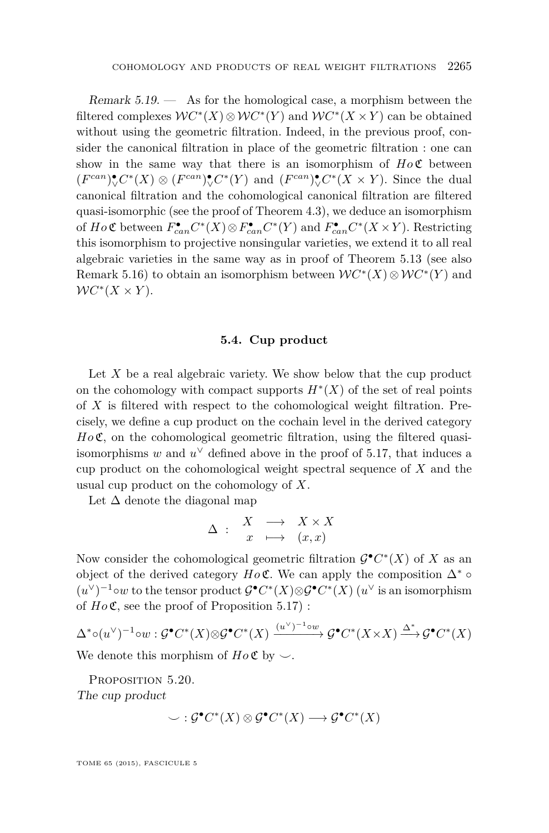<span id="page-31-0"></span>Remark  $5.19.$  — As for the homological case, a morphism between the filtered complexes  $WC^*(X) \otimes WC^*(Y)$  and  $WC^*(X \times Y)$  can be obtained without using the geometric filtration. Indeed, in the previous proof, consider the canonical filtration in place of the geometric filtration : one can show in the same way that there is an isomorphism of  $H_0 \mathfrak{C}$  between  $(F^{can})^{\bullet}_{\mathcal{V}} C^*(X) \otimes (F^{can})^{\bullet}_{\mathcal{V}} C^*(Y)$  and  $(F^{can})^{\bullet}_{\mathcal{V}} C^*(X \times Y)$ . Since the dual canonical filtration and the cohomological canonical filtration are filtered quasi-isomorphic (see the proof of Theorem [4.3\)](#page-16-0), we deduce an isomorphism of  $Ho \mathfrak{C}$  between  $F_{can}^{\bullet}C^*(X) \otimes F_{can}^{\bullet}C^*(Y)$  and  $F_{can}^{\bullet}C^*(X \times Y)$ . Restricting this isomorphism to projective nonsingular varieties, we extend it to all real algebraic varieties in the same way as in proof of Theorem [5.13](#page-26-0) (see also Remark [5.16\)](#page-29-0) to obtain an isomorphism between  $WC^*(X) \otimes WC^*(Y)$  and  $WC^*(X \times Y)$ .

#### **5.4. Cup product**

Let X be a real algebraic variety. We show below that the cup product on the cohomology with compact supports  $H^*(X)$  of the set of real points of *X* is filtered with respect to the cohomological weight filtration. Precisely, we define a cup product on the cochain level in the derived category  $H_0\mathfrak{C}$ , on the cohomological geometric filtration, using the filtered quasiisomorphisms  $w$  and  $u^{\vee}$  defined above in the proof of [5.17,](#page-29-0) that induces a cup product on the cohomological weight spectral sequence of *X* and the usual cup product on the cohomology of *X*.

Let  $\Delta$  denote the diagonal map

$$
\Delta \; : \; \begin{array}{rcl} X & \longrightarrow & X \times X \\ x & \longmapsto & (x, x) \end{array}
$$

Now consider the cohomological geometric filtration  $\mathcal{G}^{\bullet} C^*(X)$  of X as an object of the derived category  $Ho\mathfrak{C}$ . We can apply the composition  $\Delta^* \circ$  $(u^{\vee})^{-1}$ ∘*w* to the tensor product  $\mathcal{G}^{\bullet} C^*(X) \otimes \mathcal{G}^{\bullet} C^*(X)$  ( $u^{\vee}$  is an isomorphism of  $Ho\mathfrak{C}$ , see the proof of Proposition [5.17\)](#page-29-0):

$$
\Delta^* \circ (u^\vee)^{-1} \circ w : \mathcal{G}^\bullet C^*(X) \otimes \mathcal{G}^\bullet C^*(X) \xrightarrow{(u^\vee)^{-1} \circ w} \mathcal{G}^\bullet C^*(X \times X) \xrightarrow{\Delta^*} \mathcal{G}^\bullet C^*(X)
$$

We denote this morphism of  $Ho \mathfrak{C}$  by  $\smile$ .

PROPOSITION 5.20.

The cup product

$$
\smile : \mathcal{G}^{\bullet}C^*(X) \otimes \mathcal{G}^{\bullet}C^*(X) \longrightarrow \mathcal{G}^{\bullet}C^*(X)
$$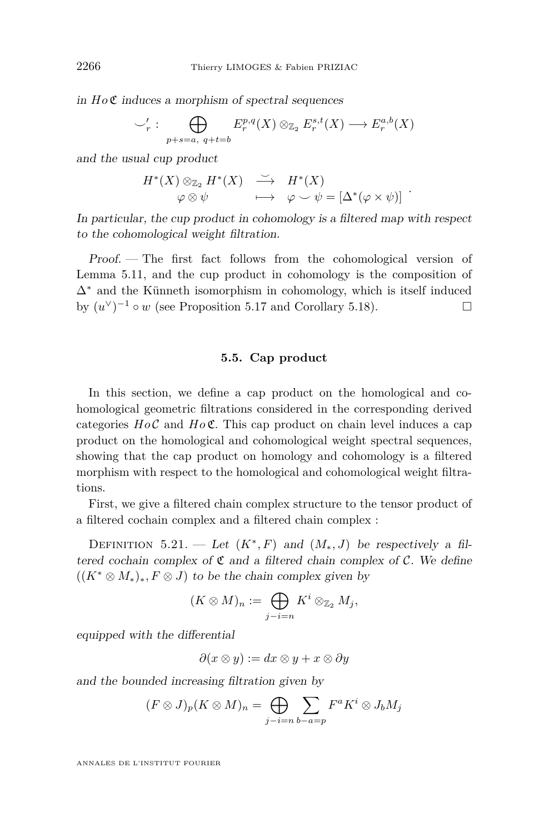<span id="page-32-0"></span>in *Ho* C induces a morphism of spectral sequences

$$
\bigcup_{r}': \bigoplus_{p+s=a, q+t=b} E_r^{p,q}(X) \otimes_{\mathbb{Z}_2} E_r^{s,t}(X) \longrightarrow E_r^{a,b}(X)
$$

and the usual cup product

$$
H^*(X) \otimes_{\mathbb{Z}_2} H^*(X) \longrightarrow H^*(X) \n\varphi \otimes \psi \longrightarrow \varphi \smile \psi = [\Delta^*(\varphi \times \psi)]
$$

In particular, the cup product in cohomology is a filtered map with respect to the cohomological weight filtration.

Proof. — The first fact follows from the cohomological version of Lemma [5.11,](#page-24-0) and the cup product in cohomology is the composition of  $\Delta^*$  and the Künneth isomorphism in cohomology, which is itself induced by  $(u^{\vee})^{-1} \circ w$  (see Proposition [5.17](#page-29-0) and Corollary [5.18\)](#page-29-0).

#### **5.5. Cap product**

In this section, we define a cap product on the homological and cohomological geometric filtrations considered in the corresponding derived categories  $H \circ \mathcal{C}$  and  $H \circ \mathcal{C}$ . This cap product on chain level induces a cap product on the homological and cohomological weight spectral sequences, showing that the cap product on homology and cohomology is a filtered morphism with respect to the homological and cohomological weight filtrations.

First, we give a filtered chain complex structure to the tensor product of a filtered cochain complex and a filtered chain complex :

DEFINITION 5.21. — Let  $(K^*, F)$  and  $(M_*, J)$  be respectively a filtered cochain complex of  $\mathfrak C$  and a filtered chain complex of  $\mathcal C$ . We define  $((K^* \otimes M_*)_* , F \otimes J)$  to be the chain complex given by

$$
(K\otimes M)_n:=\bigoplus_{j-i=n} K^i\otimes_{\mathbb{Z}_2} M_j,
$$

equipped with the differential

$$
\partial(x \otimes y) := dx \otimes y + x \otimes \partial y
$$

and the bounded increasing filtration given by

$$
(F \otimes J)_p(K \otimes M)_n = \bigoplus_{j-i=n} \sum_{b-a=p} F^a K^i \otimes J_b M_j
$$

ANNALES DE L'INSTITUT FOURIER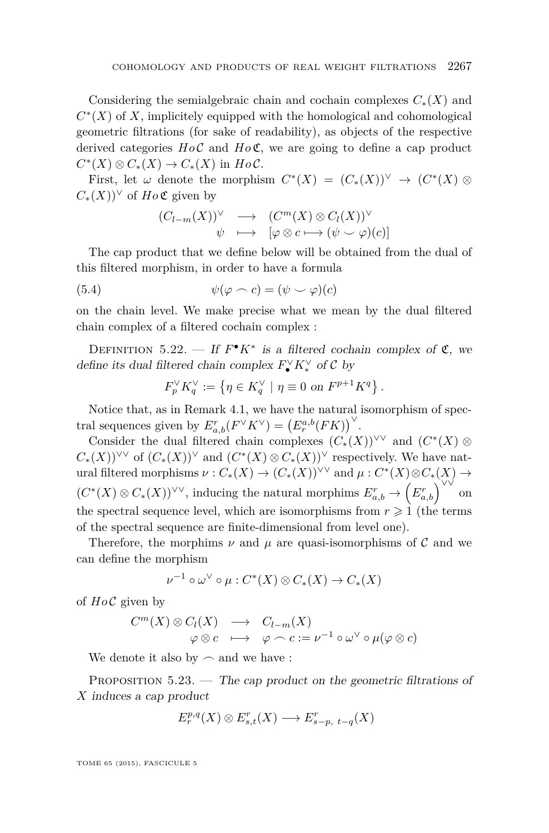<span id="page-33-0"></span>Considering the semialgebraic chain and cochain complexes *C*∗(*X*) and  $C<sup>*</sup>(X)$  of X, implicitely equipped with the homological and cohomological geometric filtrations (for sake of readability), as objects of the respective derived categories  $H \circ \mathcal{C}$  and  $H \circ \mathcal{C}$ , we are going to define a cap product  $C^*(X) \otimes C_*(X) \to C_*(X)$  in  $HoC$ .

First, let  $\omega$  denote the morphism  $C^*(X) = (C_*(X))^{\vee} \to (C^*(X) \otimes$  $C_*(X)$ <sup> $\vee$ </sup> of *Ho* **C** given by

$$
(C_{l-m}(X))^{\vee} \longrightarrow (C^{m}(X) \otimes C_{l}(X))^{\vee} \n\psi \longmapsto [\varphi \otimes c \longmapsto (\psi \smile \varphi)(c)]
$$

The cap product that we define below will be obtained from the dual of this filtered morphism, in order to have a formula

(5.4) 
$$
\psi(\varphi \frown c) = (\psi \frown \varphi)(c)
$$

on the chain level. We make precise what we mean by the dual filtered chain complex of a filtered cochain complex :

DEFINITION 5.22. — If  $F^{\bullet} K^*$  is a filtered cochain complex of  $\mathfrak{C}$ , we define its dual filtered chain complex  $F_{\bullet}^{\vee} K_{*}^{\vee}$  of  $\mathcal{C}$  by

$$
F_p^{\vee} K_q^{\vee} := \left\{ \eta \in K_q^{\vee} \mid \eta \equiv 0 \text{ on } F^{p+1} K^q \right\}.
$$

Notice that, as in Remark [4.1,](#page-15-0) we have the natural isomorphism of spectral sequences given by  $E^{r}_{a,b}(F^{\vee}K^{\vee}) = (E^{a,b}_{r}(FK))^{\vee}$ .

Consider the dual filtered chain complexes  $(C_*(X))^{V\vee}$  and  $(C^*(X)) \otimes$  $C_*(X)$ <sup> $\vee\vee$ </sup> of  $(C_*(X))$ <sup> $\vee$ </sup> and  $(C^*(X) \otimes C_*(X))$ <sup> $\vee$ </sup> respectively. We have natural filtered morphisms  $\nu : C_*(X) \to (C_*(X))^{\vee \vee}$  and  $\mu : C^*(X) \otimes C_*(X) \to$  $(C^*(X) \otimes C_*(X))^{\vee \vee}$ , inducing the natural morphims  $E_{a,b}^r \to (E_{a,b}^r)^{\vee \vee}$ on the spectral sequence level, which are isomorphisms from  $r \geq 1$  (the terms of the spectral sequence are finite-dimensional from level one).

Therefore, the morphims  $\nu$  and  $\mu$  are quasi-isomorphisms of C and we can define the morphism

$$
\nu^{-1} \circ \omega^{\vee} \circ \mu : C^*(X) \otimes C_*(X) \to C_*(X)
$$

of  $Ho\mathcal{C}$  given by

$$
C^m(X) \otimes C_l(X) \longrightarrow C_{l-m}(X)
$$
  

$$
\varphi \otimes c \longrightarrow \varphi \cap c := \nu^{-1} \circ \omega^{\vee} \circ \mu(\varphi \otimes c)
$$

We denote it also by  $\frown$  and we have :

PROPOSITION  $5.23.$  — The cap product on the geometric filtrations of *X* induces a cap product

$$
E_r^{p,q}(X) \otimes E_{s,t}^r(X) \longrightarrow E_{s-p, t-q}^r(X)
$$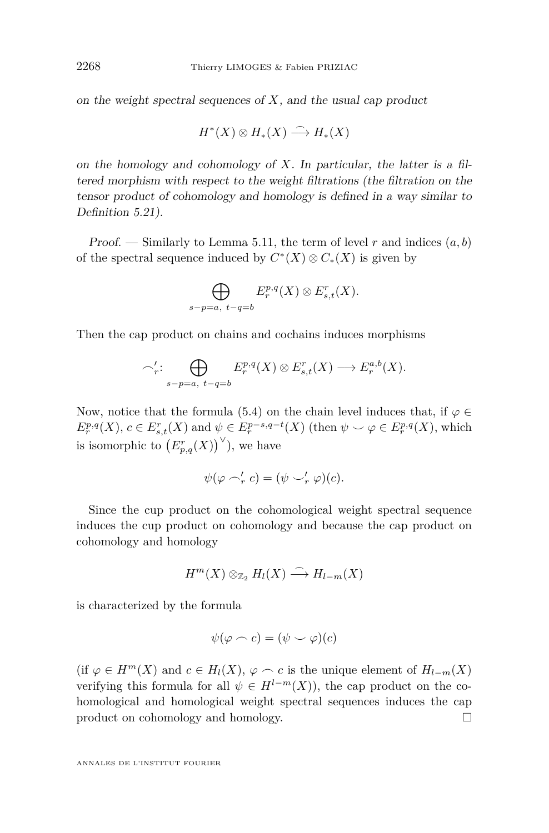on the weight spectral sequences of *X*, and the usual cap product

$$
H^*(X)\otimes H_*(X)\stackrel{\frown}{\longrightarrow} H_*(X)
$$

on the homology and cohomology of *X*. In particular, the latter is a filtered morphism with respect to the weight filtrations (the filtration on the tensor product of cohomology and homology is defined in a way similar to Definition [5.21\)](#page-32-0).

Proof. — Similarly to Lemma [5.11,](#page-24-0) the term of level  $r$  and indices  $(a, b)$ of the spectral sequence induced by  $C^*(X) \otimes C_*(X)$  is given by

$$
\bigoplus_{s-p=a, t-q=b} E_r^{p,q}(X) \otimes E_{s,t}^r(X).
$$

Then the cap product on chains and cochains induces morphisms

$$
\bigcap_{r=1}^{r} \bigoplus_{s=p=a, t-q=b} E_r^{p,q}(X) \otimes E_{s,t}^r(X) \longrightarrow E_r^{a,b}(X).
$$

Now, notice that the formula [\(5.4\)](#page-33-0) on the chain level induces that, if  $\varphi \in$  $E_r^{p,q}(X)$ ,  $c \in E_{s,t}^r(X)$  and  $\psi \in E_r^{p-s,q-t}(X)$  (then  $\psi \smile \varphi \in E_r^{p,q}(X)$ , which is isomorphic to  $(E_{p,q}^r(X))^\vee$ ), we have

$$
\psi(\varphi \frown_r' c) = (\psi \frown_r' \varphi)(c).
$$

Since the cup product on the cohomological weight spectral sequence induces the cup product on cohomology and because the cap product on cohomology and homology

$$
H^m(X) \otimes_{\mathbb{Z}_2} H_l(X) \stackrel{\frown}{\longrightarrow} H_{l-m}(X)
$$

is characterized by the formula

$$
\psi(\varphi \frown c) = (\psi \frown \varphi)(c)
$$

(if  $\varphi \in H^m(X)$  and  $c \in H_l(X)$ ,  $\varphi \frown c$  is the unique element of  $H_{l-m}(X)$ ) verifying this formula for all  $\psi \in H^{l-m}(X)$ , the cap product on the cohomological and homological weight spectral sequences induces the cap product on cohomology and homology.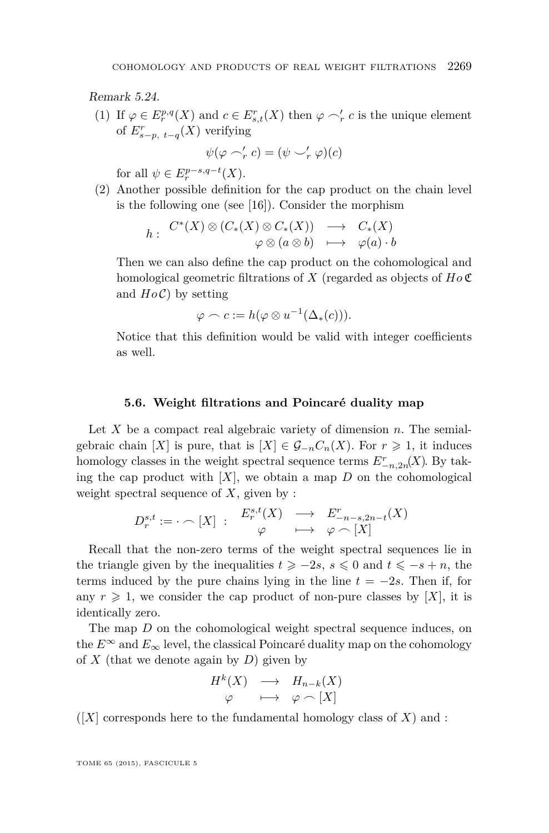<span id="page-35-0"></span>Remark 5.24.

(1) If  $\varphi \in E_r^{p,q}(X)$  and  $c \in E_{s,t}^r(X)$  then  $\varphi \sim_r' c$  is the unique element of  $E_{s-p, t-q}^r(X)$  verifying

$$
\psi(\varphi \frown'_r c) = (\psi \frown'_r \varphi)(c)
$$

for all  $\psi \in E_r^{p-s,q-t}(X)$ .

(2) Another possible definition for the cap product on the chain level is the following one (see [\[16\]](#page-37-0)). Consider the morphism

$$
h: C^*(X) \otimes (C_*(X) \otimes C_*(X)) \longrightarrow C_*(X)
$$
  

$$
\varphi \otimes (a \otimes b) \longmapsto \varphi(a) \cdot b
$$

Then we can also define the cap product on the cohomological and homological geometric filtrations of *X* (regarded as objects of *Ho* C and  $H_0(\mathcal{C})$  by setting

$$
\varphi \frown c := h(\varphi \otimes u^{-1}(\Delta_*(c))).
$$

Notice that this definition would be valid with integer coefficients as well.

# **5.6. Weight filtrations and Poincaré duality map**

Let *X* be a compact real algebraic variety of dimension *n*. The semialgebraic chain [X] is pure, that is  $[X] \in \mathcal{G}_{-n}C_n(X)$ . For  $r \geq 1$ , it induces homology classes in the weight spectral sequence terms  $E^r_{-n,2n}(X)$ . By taking the cap product with  $[X]$ , we obtain a map  $D$  on the cohomological weight spectral sequence of *X*, given by :

$$
D_r^{s,t} := \cdot \frown [X] : \begin{array}{ccc} E_r^{s,t}(X) & \longrightarrow & E_{-n-s,2n-t}^r(X) \\ \varphi & \longmapsto & \varphi \frown [X] \end{array}
$$

Recall that the non-zero terms of the weight spectral sequences lie in the triangle given by the inequalities  $t \geq -2s$ ,  $s \leq 0$  and  $t \leq -s + n$ , the terms induced by the pure chains lying in the line  $t = -2s$ . Then if, for any  $r \geq 1$ , we consider the cap product of non-pure classes by [X], it is identically zero.

The map *D* on the cohomological weight spectral sequence induces, on the  $E^{\infty}$  and  $E_{\infty}$  level, the classical Poincaré duality map on the cohomology of *X* (that we denote again by *D*) given by

$$
H^k(X) \longrightarrow H_{n-k}(X) \n\varphi \longrightarrow \varphi \cap [X]
$$

 $(|X|)$  corresponds here to the fundamental homology class of X and :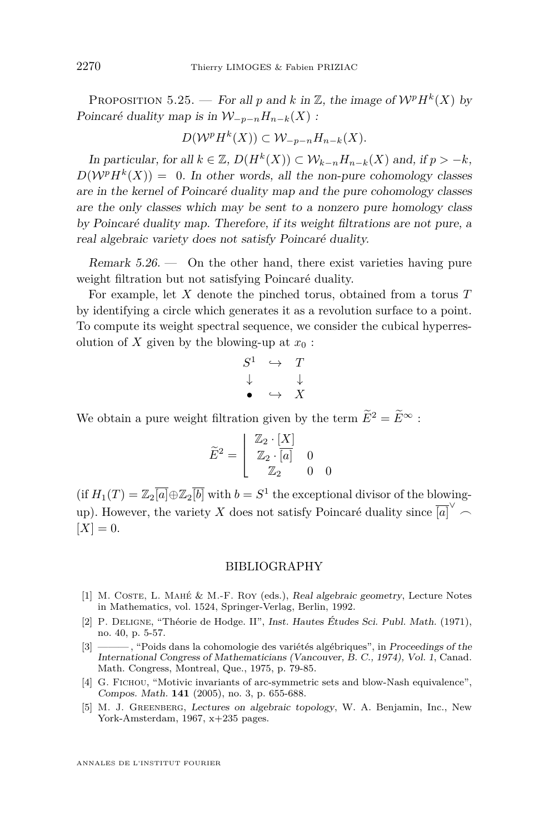<span id="page-36-0"></span>PROPOSITION 5.25. — For all p and k in Z, the image of  $W^pH^k(X)$  by Poincaré duality map is in  $W_{-n-n}H_{n-k}(X)$ :

$$
D(\mathcal{W}^p H^k(X)) \subset \mathcal{W}_{-p-n} H_{n-k}(X).
$$

In particular, for all  $k \in \mathbb{Z}$ ,  $D(H^k(X)) \subset \mathcal{W}_{k-n}$ ,  $H_{n-k}(X)$  and, if  $p > -k$ ,  $D(\mathcal{W}^p H^k(X)) = 0$ . In other words, all the non-pure cohomology classes are in the kernel of Poincaré duality map and the pure cohomology classes are the only classes which may be sent to a nonzero pure homology class by Poincaré duality map. Therefore, if its weight filtrations are not pure, a real algebraic variety does not satisfy Poincaré duality.

Remark  $5.26.$  — On the other hand, there exist varieties having pure weight filtration but not satisfying Poincaré duality.

For example, let *X* denote the pinched torus, obtained from a torus *T* by identifying a circle which generates it as a revolution surface to a point. To compute its weight spectral sequence, we consider the cubical hyperresolution of *X* given by the blowing-up at  $x_0$ :

$$
\begin{array}{ccc}\nS^1 & \hookrightarrow & T \\
\downarrow & & \downarrow \\
\bullet & \hookrightarrow & X\n\end{array}
$$

We obtain a pure weight filtration given by the term  $\widetilde{E}^2 = \widetilde{E}^{\infty}$ :

$$
\widetilde{E}^2 = \left[ \begin{array}{ccc} \mathbb{Z}_2 \cdot [X] \\ \mathbb{Z}_2 \cdot \overline{[a]} & 0 \\ \mathbb{Z}_2 & 0 & 0 \end{array} \right]
$$

 $(\text{if } H_1(T) = \mathbb{Z}_2[\overline{a}] \oplus \mathbb{Z}_2[\overline{b}]$  with  $b = S^1$  the exceptional divisor of the blowingup). However, the variety *X* does not satisfy Poincaré duality since  $\overline{[a]}^{\vee}$   $\frown$  $[X] = 0.$ 

# BIBLIOGRAPHY

- [1] M. COSTE, L. MAHÉ & M.-F. ROY (eds.), Real algebraic geometry, Lecture Notes in Mathematics, vol. 1524, Springer-Verlag, Berlin, 1992.
- [2] P. Deligne, "Théorie de Hodge. II", Inst. Hautes Études Sci. Publ. Math. (1971), no. 40, p. 5-57.
- [3] ——— , "Poids dans la cohomologie des variétés algébriques", in Proceedings of the International Congress of Mathematicians (Vancouver, B. C., 1974), Vol. 1, Canad. Math. Congress, Montreal, Que., 1975, p. 79-85.
- [4] G. FICHOU, "Motivic invariants of arc-symmetric sets and blow-Nash equivalence", Compos. Math. **141** (2005), no. 3, p. 655-688.
- [5] M. J. Greenberg, Lectures on algebraic topology, W. A. Benjamin, Inc., New York-Amsterdam, 1967, x+235 pages.